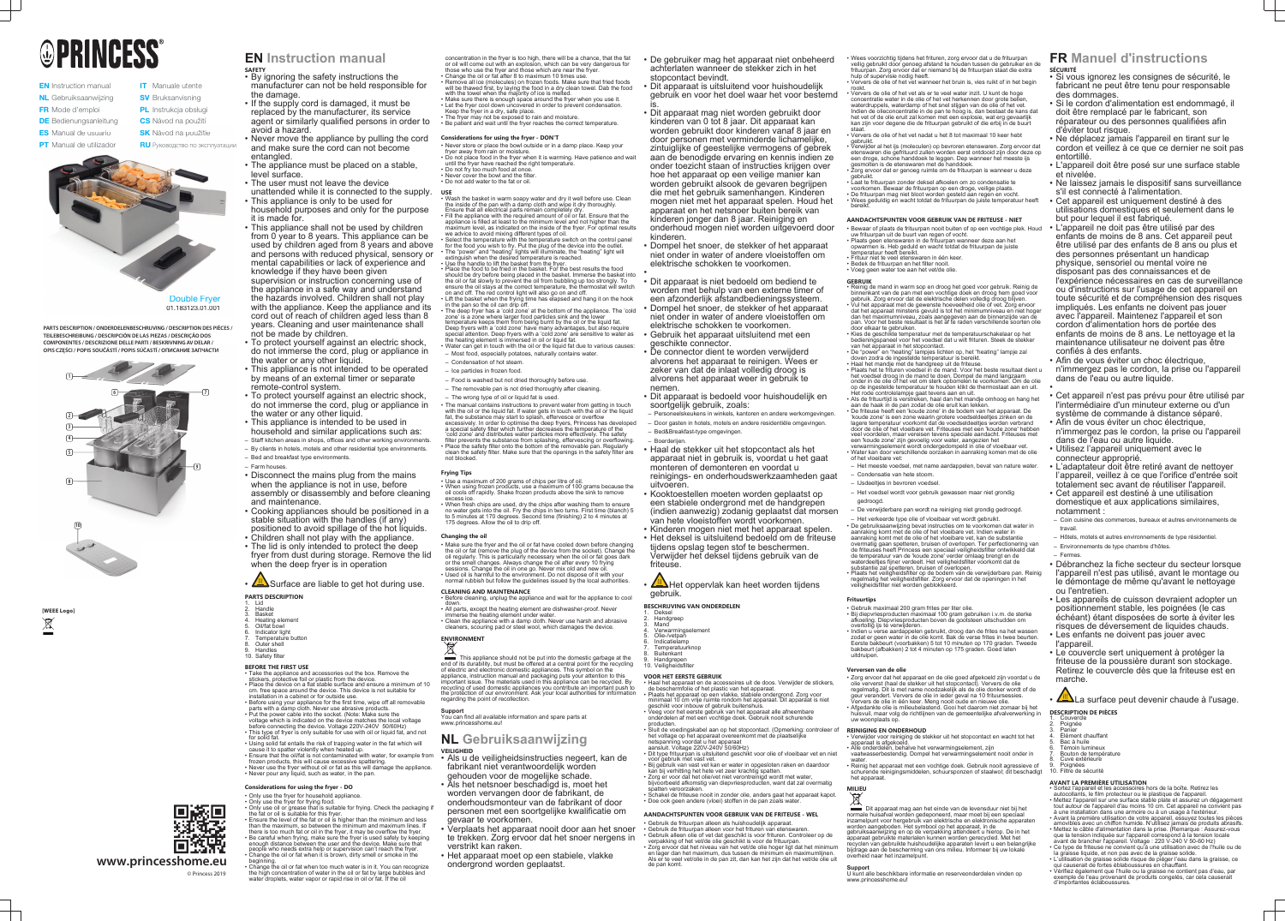# **OPRINCESS®**

- **EN** Instruction manual NL Gebruiksaanwijzing FR Mode d'emploi
- **DE** Bedienungsanleitung **CS** Návod na p<br>**ES** Manual de usuario **SK** Návod na p
- **ES** Manual de usuario
- **PT** Manual de utilizador
- **SV** Bruksanvisning PL Instrukcja obsługi

**IT** Manuale utente

- **CS** Návod na použití
- **SK** Návod na použitie **RU** Руководство по эксплуатации



**PARTS DESCRIPTION / ONDERDELENBESCHRIJVING / DESCRIPTION DES PIÈCES / TEILEBESCHREIBUNG / DESCRIPCIÓN DE LAS PIEZAS / DESCRIÇÃO DOS COMPONENTES / DESCRIZIONE DELLE PARTI / BESKRIVNING AV DELAR /**  COMPONENTES / DESCRIZIONE DELLE PARTI / BESKRIVNING AV DELAR /<br>OPIS CZĘŚCI / POPIS SOUČÁSTÍ / POPIS SÚČASTÍ / OПИСАНИЕ ЗАПЧАСТИ

Double Fryer 01.183123.01.001

**[WEEE Logo]**  $\boxtimes$ 

- the damage. • If the supply cord is damaged, it must be replaced by the manufacturer, its service agent or similarly qualified persons in order to avoid a hazard.
- Never move the appliance by pulling the cord and make sure the cord can not become entangled.
- The appliance must be placed on a stable, level surface.
- The user must not leave the device
- unattended while it is connected to the supply. • This appliance is only to be used for
- household purposes and only for the purpose it is made for.
- This appliance shall not be used by children from 0 year to 8 years. This appliance can be used by children aged from 8 years and above and persons with reduced physical, sensory or mental capabilities or lack of experience and knowledge if they have been given supervision or instruction concerning use of the appliance in a safe way and understand the hazards involved. Children shall not play with the appliance. Keep the appliance and its cord out of reach of children aged less than 8 years. Cleaning and user maintenance shall not be made by children.
- To protect yourself against an electric shock, do not immerse the cord, plug or appliance in the water or any other liquid.
- This appliance is not intended to be operated by means of an external timer or separate remote-control system.
- To protect yourself against an electric shock, do not immerse the cord, plug or appliance in the water or any other liquid.
- This appliance is intended to be used in household and similar applications such as: – Staff kitchen areas in shops, offices and other working environments.
- By clients in hotels, motels and other residential type environments.
- Bed and breakfast type environments.
- Farm houses.
- Disconnect the mains plug from the mains when the appliance is not in use, before assembly or disassembly and before cleaning and maintenance.
- Cooking appliances should be positioned in a stable situation with the handles (if any) positioned to avoid spillage of the hot liquids.
- Children shall not play with the appliance. • The lid is only intended to protect the deep
- fryer from dust during storage. Remove the lid when the deep fryer is in operation

 $\sqrt{M}$ Surface are liable to get hot during use.



# **www.princesshome.eu** © Princess 2019

# **EN Instruction manual**

**SAFETY** • By ignoring the safety instructions the manufacturer can not be held responsible for

- Take the appliance and accessories out the box. Remove the stickers, protective foil or plastic from the device. • Place the device on a flat stable surface and ensure a minimum of 10
- cm. free space around the device. This device is not suitable for installation in a cabinet or for outside use. • Before using your appliance for the first time, wipe off all removable
- parts with a damp cloth. Never use abrasive products. • Put the power cable into the socket. (Note: Make sure the voltage which is indicated on the device matches the local voltage
- before connecting the device. Voltage 220V-240V 50/60Hz) • This type of fryer is only suitable for use with oil or liquid fat, and not for solid fat.
- Using solid fat entails the risk of trapping water in the fat which will cause it to spatter violently when heated up.
- Ensure that the oil/fat is not contaminated with water, for example from frozen products, this will cause excessive spattering.
- Never use the fryer without oil or fat as this will damage the appliance. • Never pour any liquid, such as water, in the pan.
- **PARTS DESCRIPTION**
- 1. Lid 2. Handle **Basket**
- 4. Heating element
- 5. Oil/fat bowl 6. Indicator light
- 7. Temperature button
- Outer shell **Handles**
- 10. Safety filter

# **BEFORE THE FIRST USE**

# **Considerations for using the fryer - DO**

# • Only use the fryer for household appliance.

- Only use the fryer for frying food. • Only use oil or grease that is suitable for frying. Check the packaging if the fat or oil is suitable for this fryer. • Ensure the level of the fat or oil is higher than the minimum and less
- than the maximum, so between the minimum and maximum lines. If there is too much fat or oil in the fryer, it may be overflow the fryer.
- Be careful when frying, make sure the fryer is used safely by keeping enough distance between the user and the device. Make sure that people who needs extra help or supervision can't reach the fryer. • Change the oil or fat when it is brown, dirty smell or smoke in the
- beginning. • Change the oil or fat when too much water is in it. You can recognize the high concentration of water in the oil or fat by large bubbles and water droplets, water vapor or rapid rise in oil or fat. If the oil

concentration in the fryer is too high, there will be a chance, that the fat or oil will come out with an explosion, which can be very dangerous for those who use the fryer and those which are near the fryer.

- Change the oil or fat after 8 to maximum 10 times use. Remove all ice (molecules) on frozen foods. Make sure that fried foods will be thawed first, by laying the food in a dry clean towel. Dab the food
- with the towel when the majority of ice is melted. • Make sure there is enough space around the fryer when you use it. • Let the fryer cool down uncovered in order to prevent condensation.
- Keep the fryer in a dry, safe place. • The fryer may not be exposed to rain and moisture.
- Be patient and wait until the fryer reaches the correct temperature.

# **Considerations for using the fryer - DON'T**

- Never store or place the bowl outside or in a damp place. Keep your fryer away from rain or moisture.
- Do not place food in the fryer when it is warming. Have patience and wait until the fryer have reached the right temperature. • Do not fry too much food at once.
- Never cover the bowl and the filter • Do not add water to the fat or oil.

**USE** • Wash the basket in warm soapy water and dry it well before use. Clean the inside of the pan with a damp cloth and wipe it dry thoroughly. Ensure that all electrical parts remain completely dry.

> $\sqrt{M}$ Het oppervlak kan heet worden tijdens gebruik.

1. Deksel 2. Handgreep Mand

- 4. Verwarmingselement Olie-/vetpan **Indicatielamp**
- **Temperatuurknop** . e...pe.a.e.<br>Buitenkant Handgrepe
- Fill the appliance with the required amount of oil or fat. Ensure that the appliance is filled at least to the minimum level and not higher than the
- maximum level, as indicated on the inside of the fryer. For optimal results we advice to avoid mixing different types of oil.
- Select the temperature with the temperature switch on the control panel for the food you wish to fry. Put the plug of the device into the outlet. • The "power" and "heating" lights will illuminate, the "heating" light will extinguish when the desired temperature is reached.
- Use the handle to lift the basket from the fryer. • Place the food to be fried in the basket. For the best results the food should be dry before being placed in the basket. Immerse the basket into the oil or fat slowly to prevent the oil from bubbling up too strongly. To
- ensure the oil stays at the correct temperature, the thermostat will switch on and off. The red control light will also go on and off. Lift the basket when the frying time has elapsed and hang it on the hook in the pan so the oil can drip off.
- The deep fryer has a 'cold zone' at the bottom of the appliance. The 'cold zone' is a zone where larger food particles sink and the lower temperature keeps them from being burnt by the oil or the liquid fat. Deep fryers with a 'cold zone' have many advantages, but also require special attention. Deep fryers with a 'cold zone' are sensitive to water as the heating element is immersed in oil or liquid fat.
- Water can get in touch with the oil or the liquid fat due to various causes: – Most food, especially potatoes, naturally contains water.
- Condensation of hot steam.
- Ice particles in frozen food.
- Food is washed but not dried thoroughly before use.
- The removable pan is not dried thoroughly after cleaning.
- The wrong type of oil or liquid fat is used. • The manual contains instructions to prevent water from getting in touch with the oil or the liquid fat. If water gets in touch with the oil or the liquid fat, the substance may start to splash, effervesce or overflow excessively. In order to optimise the deep fryers, Princess has developed a special safety filter which further decreases the temperature of the 'cold zone' and distributes water particles more effectively. The safety filter prevents the substance from splashing, effervescing or overflowing. • Place the safety filter onto the bottom of the removable pan. Regularly
- clean the safety filter. Make sure that the openings in the safety filter are not blocked. **Frying Tips**

# • Use a maximum of 200 grams of chips per litre of oil.

- When using frozen products, use a maximum of 100 grams because the oil cools off rapidly. Shake frozen products above the sink to remove excess ice.
- When fresh chips are used, dry the chips after washing them to ensure no water gets into the oil. Fry the chips in two turns. First time (blanch) 5 to 5 minutes at 170 degrees. Second time (finishing) 2 to 4 minutes at 175 degrees. Allow the oil to drip off.

# **Changing the oil**

- Make sure the fryer and the oil or fat have cooled down before changing the oil or fat (remove the plug of the device from the socket). Change the oil regularly. This is particularly necessary when the oil or fat goes dark or the smell changes. Always change the oil after every 10 frying sessions. Change the oil in one go. Never mix old and new oil. • Used oil is harmful to the environment. Do not dispose of it with your normal rubbish but follow the guidelines issued by the local authorities.
- **CLEANING AND MAINTENANCE**
- Before cleaning, unplug the appliance and wait for the appliance to cool down. • All parts, except the heating element are dishwasher-proof. Never
- immerse the heating element under water.
- Clean the appliance with a damp cloth. Never use harsh and abrasive cleaners, scouring pad or steel wool, which damages the device.

# **ENVIRONMENT**

This appliance should not be put into the domestic garbage at the  $\sim$ ity, but must be offered at a central point for the recycl of electric and electronic domestic appliances. This symbol on the appliance, instruction manual and packaging puts your attention to this important issue. The materials used in this appliance can be recycled. By recycling of used domestic appliances you contribute an important push to the protection of our environment. Ask your local authorities for information regarding the point of recollection.

# **Support**

You can find all available information and spare parts at www.princesshome.eu!

# **NL Gebruiksaanwijzing VEILIGHEID**

Dit apparaat mag aan het einde van de levensduur niet bij het normale huisafval worden gedeponeerd, maar moet bij een speciaal inzamelpunt voor hergebruik van elektrische en elektronische apparaten worden aangeboden. Het symbool op het apparaat, in de gebruiksaanwijzing en op de verpakking attendeert u hierop. De in het apparaat gebruikte materialen kunnen worden gerecycled. Met het recyclen van gebruikte huishoudelijke apparaten levert u een belangrijke bijdrage aan de bescherming van ons milieu. Informeer bij uw lokale overheid naar het inzamelpunt.

- Als u de veiligheidsinstructies negeert, kan de fabrikant niet verantwoordelijk worden
- gehouden voor de mogelijke schade. • Als het netsnoer beschadigd is, moet het worden vervangen door de fabrikant, de onderhoudsmonteur van de fabrikant of door personen met een soortgelijke kwalificatie om gevaar te voorkomen.
- Verplaats het apparaat nooit door aan het snoer te trekken. Zorg ervoor dat het snoer nergens in verstrikt kan raken.
- Het apparaat moet op een stabiele, vlakke ondergrond worden geplaatst.





• De gebruiker mag het apparaat niet onbeheerd achterlaten wanneer de stekker zich in het stopcontact bevindt.

• Dit apparaat is uitsluitend voor huishoudelijk gebruik en voor het doel waar het voor bestemd

is.

• Dit apparaat mag niet worden gebruikt door kinderen van 0 tot 8 jaar. Dit apparaat kan worden gebruikt door kinderen vanaf 8 jaar en door personen met verminderde lichamelijke, zintuiglijke of geestelijke vermogens of gebrek aan de benodigde ervaring en kennis indien ze onder toezicht staan of instructies krijgen over hoe het apparaat op een veilige manier kan worden gebruikt alsook de gevaren begrijpen die met het gebruik samenhangen. Kinderen mogen niet met het apparaat spelen. Houd het apparaat en het netsnoer buiten bereik van kinderen jonger dan 8 jaar. Reiniging en onderhoud mogen niet worden uitgevoerd door kinderen.

• Dompel het snoer, de stekker of het apparaat niet onder in water of andere vloeistoffen om elektrische schokken te voorkomen.

•

<u>/<sup>∭</sup>N La</u> surface peut devenir chaude à l'usage. **DESCRIPTION DE PIÈCES**

• Dit apparaat is niet bedoeld om bediend te worden met behulp van een externe timer of een afzonderlijk afstandbedieningssysteem. • Dompel het snoer, de stekker of het apparaat niet onder in water of andere vloeistoffen om elektrische schokken te voorkomen. • Gebruik het apparaat uitsluitend met een

> Cuve extérieure Poignées 10. Filtre de sécurité

geschikte connector. • De connector dient te worden verwijderd

alvorens het apparaat te reinigen. Wees er zeker van dat de inlaat volledig droog is alvorens het apparaat weer in gebruik te nemen.

• Dit apparaat is bedoeld voor huishoudelijk en soortgelijk gebruik, zoals:

– Personeelskeukens in winkels, kantoren en andere werkomgevingen. – Door gasten in hotels, motels en andere residentiële omgevingen. – Bed&Breakfast-type omgevingen.

– Boerderijen.

• Haal de stekker uit het stopcontact als het apparaat niet in gebruik is, voordat u het gaat monteren of demonteren en voordat u reinigings- en onderhoudswerkzaamheden gaat uitvoeren.

• Kooktoestellen moeten worden geplaatst op een stabiele ondergrond met de handgrepen (indien aanwezig) zodanig geplaatst dat morsen van hete vloeistoffen wordt voorkomen.

• Kinderen mogen niet met het apparaat spelen. • Het deksel is uitsluitend bedoeld om de friteuse tijdens opslag tegen stof te beschermen. Verwijder het deksel tijdens gebruik van de friteuse.

**BESCHRIJVING VAN ONDERDELEN**

# 10. Veiligheidsfilter

- **VOOR HET EERSTE GEBRUIK** • Haal het apparaat en de accessoires uit de doos. Verwijder de stickers, de beschermfolie of het plastic van het apparaat. • Plaats het apparaat op een vlakke, stabiele ondergrond. Zorg voor minimaal 10 cm vrije ruimte rondom het apparaat. Dit apparaat is niet geschikt voor inbouw of gebruik buitenshuis.
- Veeg voor het eerste gebruik van het apparaat alle afneembare onderdelen af met een vochtige doek. Gebruik nooit schurende
- producten. • Sluit de voedingskabel aan op het stopcontact. (Opmerking: controleer of **REINIGING EN ONDERHOUD** het voltage op het apparaat overeenkomt met de plaatselijke netspanning voordat u het apparaat
- aansluit. Voltage 220V-240V 50/60Hz) • Dit type frituurpan is uitsluitend geschikt voor olie of vloeibaar vet en niet
- voor gebruik met vast vet. • Bij gebruik van vast vet kan er water in opgesloten raken en daardoor kan bij verhitting het hete vet zeer krachtig spatten.
- Zorg er voor dat het olie/vet niet verontreinigd wordt met water, bijvoorbeeld afkomstig van diepvriesproducten, want dat zal overmatig
- spatten veroorzaken. • Schakel de friteuse nooit in zonder olie, anders gaat het apparaat kapot. • Doe ook geen andere (vloei) stoffen in de pan zoals water.

# **AANDACHTSPUNTEN VOOR GEBRUIK VAN DE FRITEUSE - WEL**

- Gebruik de frituurpan alleen als huishoudelijk apparaat.
- Gebruik de frituurpan alleen voor het frituren van etenswaren.
- Gebruik alleen olie of vet dat geschikt is voor frituren. Controleer op de verpakking of het vet/de olie geschikt is voor de frituurpan. • Zorg ervoor dat het niveau van het vet/de olie hoger ligt dat het minimum en lager dan het maximum, dus tussen de minimum en maximumlijnen. Als er te veel vet/olie in de pan zit, dan kan het zijn dat het vet/de olie uit de pan komt.

• Wees voorzichtig tijdens het frituren, zorg ervoor dat u de frituurpan veilig gebruikt door genoeg afstand te houden tussen de gebruiker en de frituurpan. Zorg ervoor dat er niemand bij de frituurpan staat die extra hulp of supervisie nodig heeft. • Ververs de olie of het vet wanneer het bruin is, vies ruikt of in het begin

- rookt. • Ververs de olie of het vet als er te veel water inzit. U kunt de hoge concentratie water in de olie of het vet herkennen door grote bellen, waterdruppels, waterdamp of het snel stijgen van de olie of het vet. Indien de olieconcentratie in de pan te hoog is, dan bestaat de kans dat het vet of de olie eruit zal komen met een explosie, wat erg gevaarlijk kan zijn voor degene die de frituurpan gebruikt of die erbij in de buurt staat.
- Ververs de olie of het vet nadat u het 8 tot maximaal 10 keer hebt gebruikt.
- Verwijder al het ijs (moleculen) op bevroren etenswaren. Zorg ervoor dat etenswaren die gefrituurd zullen worden eerst ontdooid zijn door deze op een droge, schone handdoek te leggen. Dep wanneer het meeste ijs gesmolten is de etenswaren met de handdoek. • Zorg ervoor dat er genoeg ruimte om de frituurpan is wanneer u deze
- gebruikt.
- Laat te frituurpan zonder deksel afkoelen om zo condensatie te voorkomen. Bewaar de frituurpan op een droge, veilige plaats.
- De frituurpan mag niet bloot worden gesteld aan regen en vocht. • Wees geduldig en wacht totdat de frituurpan de juiste temperatuur heeft bereikt.

## **AANDACHTSPUNTEN VOOR GEBRUIK VAN DE FRITEUSE - NIET**

- Bewaar of plaats de frituurpan nooit buiten of op een vochtige plek. Houd uw frituurpan uit de buurt van regen of vocht.
- Plaats geen etenswaren in de frituurpan wanneer deze aan het opwarmen is. Heb geduld en wacht totdat de frituurpan de juiste temperatuur heeft bereikt.
- Frituur niet te veel etenswaren in één keer.
- Bedek de frituurpan en het filter nooit. • Voeg geen water toe aan het vet/de olie.

## **GEBRUIK**

- Reinig de mand in warm sop en droog het goed voor gebruik. Reinig de binnenkant van de pan met een vochtige doek en droog hem goed voor gebruik. Zorg ervoor dat de elektrische delen volledig droog blijven. • Vul het apparaat met de gewenste hoeveelheid olie of vet. Zorg ervoor
- dat het apparaat minstens gevuld is tot het minimumniveau en niet hoger dan het maximumniveau, zoals aangegeven aan de binnenzijde van de pan. Voor het beste resultaat is het af te raden verschillende soorten olie door elkaar te gebruiken.
- Kies de geschikte temperatuur met de temperatuurschakelaar op het bedieningspaneel voor het voedsel dat u wilt frituren. Steek de stekker van het apparaat in het stopcontact.
- De "power" en "heating" lampjes lichten op, het "heating" lampje zal doven zodra de ingestelde temperatuur is bereikt. • Haal het mandje met de handgreep uit de friteuse.
- Plaats het te frituren voedsel in de mand. Voor het beste resultaat dient u het voedsel droog in de mand te doen. Dompel de mand langzaam onder in de olie of het vet om sterk opborrelen te voorkomen. Om de olie op de ingestelde temperatuur te houden klikt de thermostaat aan en uit. Het rode controlelampje gaat tevens aan en uit.
- Als de frituurtijd is verstreken, haal dan het mandje omhoog en hang het aan de haak in de pan zodat de olie eruit kan lekken. • De friteuse heeft een 'koude zone' in de bodem van het apparaat. De 'koude zone' is een zone waarin grotere voedseldeeltjes zinken en de lagere temperatuur voorkomt dat de voedseldeeltjes worden verbrand door de olie of het vloeibare vet. Friteuses met een 'koude zone' hebben veel voordelen, maar vereisen tevens speciale aandacht. Friteuses met een 'koude zone' zijn gevoelig voor water, aangezien het
- verwarmingselement wordt ondergedompeld in olie of vloeibaar vet. • Water kan door verschillende oorzaken in aanraking komen met de olie of het vloeibare vet:
- Het meeste voedsel, met name aardappelen, bevat van nature water. – Condensatie van hete stoom.
- IJsdeeltjes in bevroren voedsel.
- Het voedsel wordt voor gebruik gewassen maar niet grondig gedroogd.
- De verwijderbare pan wordt na reiniging niet grondig gedroogd. – Het verkeerde type olie of vloeibaar vet wordt gebruikt.
- De gebruiksaanwijzing bevat instructies om te voorkomen dat water in aanraking komt met de olie of het vloeibare vet. Indien water in aanraking komt met de olie of het vloeibare vet, kan de substantie overmatig gaan spetteren, bruisen of overlopen. Ter perfectionering van de friteuses heeft Princess een speciaal veiligheidsfilter ontwikkeld dat de temperatuur van de 'koude zone' verder omlaag brengt en de waterdeeltjes fijner verdeelt. Het veiligheidsfilter voorkomt dat de
- substantie zal spetteren, bruisen of overlopen. • Plaats het veiligheidsfilter op de bodem van de verwijderbare pan. Reinig regelmatig het veiligheidsfilter. Zorg ervoor dat de openingen in het veiligheidsfilter niet worden geblokkeerd.

### **Frituurtips**

- Gebruik maximaal 200 gram frites per liter olie. • Bij diepvriesproducten maximaal 100 gram gebruiken i.v.m. de sterke
- afkoeling. Diepvriesproducten boven de gootsteen uitschudden om overtollig ijs te verwijderen.

• Indien u verse aardappelen gebruikt, droog dan de frites na het wassen zodat er geen water in de olie komt. Bak de verse frites in twee beurten. Eerste bakbeurt (voorbakken) 5 tot 10 minuten op 170 graden. Tweede bakbeurt (afbakken) 2 tot 4 minuten op 175 graden. Goed laten uitdruipen.

### **Verversen van de olie**

- Zorg ervoor dat het apparaat en de olie goed afgekoeld zijn voordat u de olie ververst (haal de stekker uit het stopcontact). Ververs de olie regelmatig. Dit is met name noodzakelijk als de olie donker wordt of de geur verandert. Ververs de olie in ieder geval na 10 frituursessies. Ververs de olie in één keer. Meng nooit oude en nieuwe olie.
- Afgedankte olie is milieubelastend. Gooi het daarom niet zomaar bij het huisvuil, maar volg de richtlijnen van de gemeentelijke afvalverwerking in uw woonplaats op.

- Verwijder voor reiniging de stekker uit het stopcontact en wacht tot het apparaat is afgekoeld. Alle onderdelen, behalve het verwarmingselement, zijn
- vaatwasserbestendig. Dompel het verwarmingselement nooit onder in
- water. Reinig het apparaat met een vochtige doek. Gebruik nooit agressieve of schurende reinigingsmiddelen, schuursponzen of staalwol; dit beschadigt het apparaat.

**MILIEU** 

### **Support**

U kunt alle beschikbare informatie en reserveonderdelen vinden op www.princesshome.eu!

# **FR Manuel d'instructions**

- **SÉCURITÉ** • Si vous ignorez les consignes de sécurité, le fabricant ne peut être tenu pour responsable des dommages.
- Si le cordon d'alimentation est endommagé, il doit être remplacé par le fabricant, son réparateur ou des personnes qualifiées afin d'éviter tout risque.
- Ne déplacez jamais l'appareil en tirant sur le cordon et veillez à ce que ce dernier ne soit pas entortillé.
- L'appareil doit être posé sur une surface stable et nivelée.
- Ne laissez jamais le dispositif sans surveillance s'il est connecté à l'alimentation.
- Cet appareil est uniquement destiné à des utilisations domestiques et seulement dans le but pour lequel il est fabriqué.
- L'appareil ne doit pas être utilisé par des enfants de moins de 8 ans. Cet appareil peut être utilisé par des enfants de 8 ans ou plus et des personnes présentant un handicap physique, sensoriel ou mental voire ne disposant pas des connaissances et de l'expérience nécessaires en cas de surveillance ou d'instructions sur l'usage de cet appareil en toute sécurité et de compréhension des risques impliqués. Les enfants ne doivent pas jouer avec l'appareil. Maintenez l'appareil et son cordon d'alimentation hors de portée des enfants de moins de 8 ans. Le nettoyage et la maintenance utilisateur ne doivent pas être confiés à des enfants.
- 
- Afin de vous éviter un choc électrique, n'immergez pas le cordon, la prise ou l'appareil dans de l'eau ou autre liquide.
- • Cet appareil n'est pas prévu pour être utilisé par l'intermédiaire d'un minuteur externe ou d'un système de commande à distance séparé.
- Afin de vous éviter un choc électrique, n'immergez pas le cordon, la prise ou l'appareil
- dans de l'eau ou autre liquide. • Utilisez l'appareil uniquement avec le connecteur approprié.
- L'adaptateur doit être retiré avant de nettoyer l'appareil, veillez à ce que l'orifice d'entrée soit totalement sec avant de réutiliser l'appareil.
- Cet appareil est destiné à une utilisation domestique et aux applications similaires, notamment :
- Coin cuisine des commerces, bureaux et autres environnements de travail.
- Hôtels, motels et autres environnements de type résidentiel.
- Environnements de type chambre d'hôtes. – Fermes.
- Débranchez la fiche secteur du secteur lorsque l'appareil n'est pas utilisé, avant le montage ou le démontage de même qu'avant le nettoyage ou l'entretien.
- Les appareils de cuisson devraient adopter un positionnement stable, les poignées (le cas échéant) étant disposées de sorte à éviter les risques de déversement de liquides chauds.
- Les enfants ne doivent pas jouer avec l'appareil.
- Le couvercle sert uniquement à protéger la friteuse de la poussière durant son stockage. Retirez le couvercle dès que la friteuse est en marche.

**AVANT LA PREMIÈRE UTILISATION**

• Sortez l'appareil et les accessoires hors de la boîte. Retirez les autocollants, le film protecteur ou le plastique de l'appareil.

• Mettez l'appareil sur une surface stable plate et assurez un dégagement tout autour de l'appareil d'au moins 10 cm. Cet appareil ne convient pas à une installation dans une armoire ou à un usage à l'extérieur. • Avant la première utilisation de votre appareil, essuyez toutes les pièces amovibles avec un chiffon humide. N'utilisez jamais de produits abrasifs. • Mettez le câble d'alimentation dans la prise. (Remarque : Assurez-vous que la tension indiquée sur l'appareil correspond à la tension locale avant de brancher l'appareil. Voltage : 220 V-240 V 50-60 Hz) • Ce type de friteuse ne convient qu'à une utilisation avec de l'huile ou de

lisation de graisse solide risque de piéger l'eau dans la graisse, ce

la graisse liquide, et non pas avec de la graisse solide.

qui causerait de fortes éblaboussures en chauffant.

• Vérifiez également que l'huile ou la graisse ne contient pas d'eau, par exemple de l'eau provenant de produits congelés, car cela causerait

- Couvercle Poignée
- **Panier**
- 4. Élément chauffant Bac à huile
- Témoin lumineux
- Bouton de température

d'importantes éclaboussures.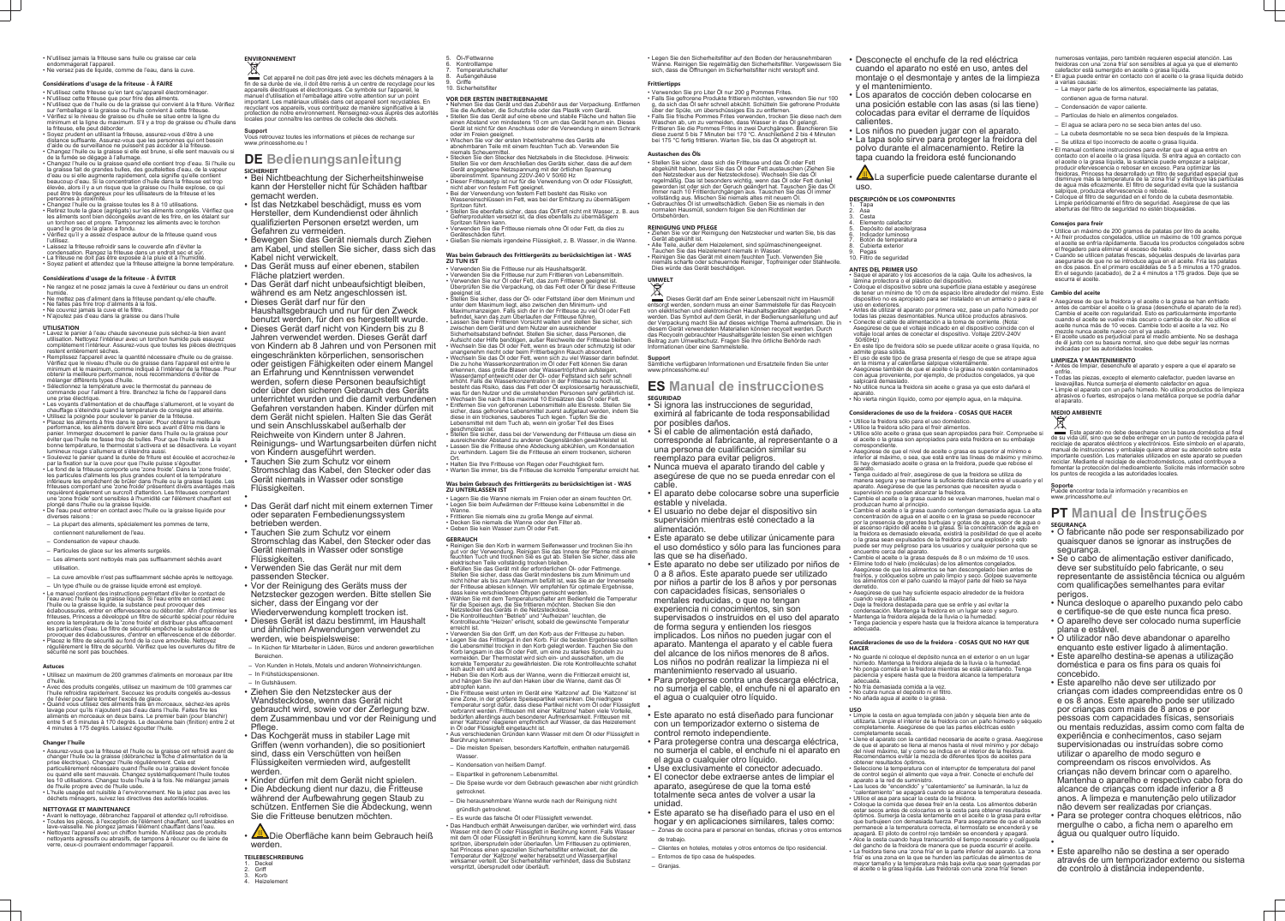• N'utilisez jamais la friteuse sans huile ou graisse car cela

- endommagerait l'appareil. • Ne versez pas de liquide, comme de l'eau, dans la cuve.
- 

# **Considérations d'usage de la friteuse - À FAIRE**

- N'utilisez cette friteuse qu'en tant qu'appareil électroménager. • N'utilisez cette friteuse que pour frire des aliments.
- N'utilisez que de l'huile ou de la graisse qui convient à la friture. Vérifiez sur l'emballage si la graisse ou l'huile convient à cette friteuse.
- Vérifiez si le niveau de graisse ou d'huile se situe entre la ligne du minimum et la ligne du maximum. S'il y a trop de graisse ou d'huile dans a friteuse, elle peut déborder. • Soyez prudent en utilisant la friteuse, assurez-vous d'être à une

#### distance suffisante. Assurez-vous que les personnes qui ont besoin d'aide ou de surveillance ne puissent pas accéder à la friteuse. • Changez l'huile ou la graisse si elle est brune, si elle sent mauvais ou si

- de la fumée se dégage à l'allumage. • Changez l'huile ou la graisse quand elle contient trop d'eau. Si l'huile ou
- la graisse fait de grandes bulles, des gouttelettes d'eau, de la vapeur d'eau ou si elle augmente rapidement, cela signifie qu'elle contient beaucoup d'eau. Si la concentration d'huile dans la friteuse est trop élevée, alors il y a un risque que la graisse ou l'huile explose, ce qui peut être très dangereux pour les utilisateurs de la friteuse et les personnes à proximité.
- Changez l'huile ou la graisse toutes les 8 à 10 utilisations. • Retirez toute la glace (agrégats) sur les aliments congelés. Vérifiez que les aliments sont bien décongelés avant de les frire, en les étalant sur un torchon sec et propre. Tamponnez les aliments avec le torchon quand le gros de la glace a fondu.
- Vérifiez qu'il y a assez d'espace autour de la friteuse quand vous
- l'utilisez. • Laissez la friteuse refroidir sans le couvercle afin d'éviter la
- condensation. Rangez la friteuse dans un endroit sec et sûr.
- La friteuse ne doit pas être exposée à la pluie et à l'humidité. • Soyez patient et attendez que la friteuse atteigne la bonne température.

### **Considérations d'usage de la friteuse - À ÉVITER**

- Ne rangez et ne posez jamais la cuve à l'extérieur ou dans un endroit humide. • Ne mettez pas d'aliment dans la friteuse pendant qu'elle chauffe.
- Ne faites pas frire trop d'aliments à la fois.
- Ne couvrez jamais la cuve et le filtre.

# • N'ajoutez pas d'eau dans la graisse ou dans l'huile

Cet appareil ne doit pas être jeté avec les déchets ménagers à la fin de sa durée de vie, il doit être remis à un centre de recyclage pour les appareils électriques et électroniques. Ce symbole sur l'appareil, le manuel d'utilisation et l'emballage attire votre attention sur un point important. Les matériaux utilisés dans cet appareil sont recyclables. En recyclant vos appareils, vous contribuez de manière significative à la protection de notre environnement. Renseignez-vous auprès des autorités locales pour connaître les centres de collecte des déchets.

- **UTILISATION** • Lavez le panier à l'eau chaude savoneuse puis séchez-la bien avant utilisation. Nettoyez l'intérieur avec un torchon humide puis essuyez complètement l'intérieur. Assurez-vous que toutes les pièces électriques
- restent entièrement sèches. • Remplissez l'appareil avec la quantité nécessaire d'huile ou de graisse. Vérifiez que le niveau d'huile ou de graisse dans l'appareil est entre le minimum et le maximum, comme indiqué à l'intérieur de la friteuse. Pour
- obtenir la meilleure performance, nous recommandons d'éviter de mélanger différents types d'huile. • Sélectionnez la température avec le thermostat du panneau de
- commande pour l'aliment à frire. Branchez la fiche de l'appareil dans une prise électrique. • Les voyants d'alimentation et de chauffage s'allumeront, et le voyant de
- chauffage s'éteindra quand la température de consigne est atteinte. • Utilisez la poignée pour soulever le panier de la friteuse.
- Placez les aliments à frire dans le panier. Pour obtenir la meilleure performance, les aliments doivent être secs avant d'être mis dans le panier. Immergez doucement le panier dans l'huile ou la graisse pour éviter que l'huile ne fasse trop de bulles. Pour que l'huile reste à la bonne température, le thermostat s'activera et se désactivera. Le voyant lumineux rouge s'allumera et s'éteindra aussi.
- Soulevez le panier quand la durée de friture est écoulée et accrochez-le par la fixation sur la cuve pour que l'huile puisse s'égoutter. Le fond de la friteuse comporte une 'zone froide'. Dans la 'zone froide', les particules d'aliments les plus grandes coulent et la température inférieure les empêchent de brûler dans l'huile ou la graisse liquide. Les friteuses comportant une 'zone froide' présentent divers avantages mais requièrent également un surcroît d'attention. Les friteuses comportant une 'zone froide' sont sensibles à l'humidité car l'élément chauffant est plongé dans l'huile ou la graisse liquide.
- De l'eau peut entrer en contact avec l'huile ou la graisse liquide pour diverses raisons : – La plupart des aliments, spécialement les pommes de terre,
- contiennent naturellement de l'eau.
- Condensation de vapeur chaude.
- Particules de glace sur les aliments surgelés.
- Les aliments sont nettoyés mais pas suffisamment séchés avant utilisation.
- 
- La cuve amovible n'est pas suffisamment séchée après le nettoyage. – Un type d'huile ou de graisse liquide erroné est employé. • Le manuel contient des instructions permettant d'éviter le contact de l'eau avec l'huile ou la graisse liquide. Si l'eau entre en contact avec l'huile ou la graisse liquide, la substance peut provoquer des éclaboussures, entrer en effervescence ou déborder. Afin d'optimiser les friteuses, Princess a développé un filtre de sécurité spécial pour réduire encore la température de la 'zone froide' et distribuer plus efficacement es particules d'eau. Le filtre de sécurité empêche la substance de
- provoquer des éclaboussures, d'entrer en effervescence et de déborder. • Placez le filtre de sécurité au fond de la cuve amovible. Nettoyez régulièrement le filtre de sécurité. Vérifiez que les ouvertures du filtre de sécurité ne sont pas bouchées.

#### **Astuces**

- Utilisez un maximum de 200 grammes d'aliments en morceaux par litre d'huile.
- Avec des produits congelés, utilisez un maximum de 100 grammes car l'huile refroidira rapidement. Secouez les produits congelés au-dessus de l'évier pour faire tomber l'excès de glace.
- Quand vous utilisez des aliments frais en morceaux, séchez-les après lavage pour qu'ils n'ajoutent pas d'eau dans l'huile. Faites fire les aliments en morceaux en deux bains. Le premier bain (pour blanchir) entre 5 et 5 minutes à 170 degrés. Le deuxième bain (finition) entre 2 et 4 minutes à 175 degrés. Laissez égoutter l'huile.

#### **Changer l'huile**

- Assurez-vous que la friteuse et l'huile ou la graisse ont refroidi avant de changer l'huile ou la graisse (débranchez la fiche d'alimentation de la prise électrique). Changez l'huile régulièrement. Cela est particulièrement nécessaire quand l'huile ou la graisse devient foncée ou quand elle sent mauvais. Changez systématiquement l'huile toutes les 10 utilisations. Changez toute l'huile à la fois. Ne mélangez jamais de l'huile propre avec de l'huile usée.
- L'huile usagée est nuisible à l'environnement. Ne la jetez pas avec les déchets ménagers, suivez les directives des autorités locales.

#### **NETTOYAGE ET MAINTENANCE** • Avant le nettoyage, débranchez l'appareil et attendez qu'il refroidisse.

- Toutes les pièces, à l'exception de l'élément chauffant, sont lavables en lave-vaisselle. Ne plongez jamais l'élément chauffant dans l'eau. • Nettoyez l'appareil avec un chiffon humide. N'utilisez pas de produits
- nettoyants agressifs ou abrasifs, de tampons à récurer ou de laine de verre, ceux-ci pourraient endommager l'appareil.

# **ENVIRONNEMENT**

# $\boxtimes$

• Befüllen Sie das Gerät mit der erforderlichen Öl- oder Fettmenge. Stellen Sie sicher, dass das Gerät mindestens bis zum Minimum und nicht höher als bis zum Maximum befüllt ist, was Sie an der Innenseite der Fritteuse ablesen können. Wir empfehlen für optimale Ergebnisse,

**Support** Vous retrouvez toutes les informations et pièces de rechange sur www.princesshome.eu !

> • Verwenden Sie den Griff, um den Korb aus der Fritteuse zu heben. • Legen Sie das Frittiergut in den Korb. Für die besten Ergebnisse sollten die Lebensmittel trocken in den Korb gelegt werden. Tauchen Sie den Korb langsam in das Öl oder Fett, um eine zu starkes Sprudeln zu vermeiden. Der Thermostat wird sich ein- und ausschalten, um die korrekte Temperatur zu gewährleisten. Die rote Kontrollleuchte s

# **DE Bedienungsanleitung**

- **SICHERHEIT** Bei Nichtbeachtung der Sicherheitshinweise kann der Hersteller nicht für Schäden haftbar gemacht werden.
- Ist das Netzkabel beschädigt, muss es vom Hersteller, dem Kundendienst oder ähnlich qualifizierten Personen ersetzt werden, um Gefahren zu vermeiden.
- Bewegen Sie das Gerät niemals durch Ziehen am Kabel, und stellen Sie sicher, dass sich das Kabel nicht verwickelt.
- Das Gerät muss auf einer ebenen, stabilen Fläche platziert werden.
- Das Gerät darf nicht unbeaufsichtigt bleiben, während es am Netz angeschlossen ist.
- Dieses Gerät darf nur für den Haushaltsgebrauch und nur für den Zweck benutzt werden, für den es hergestellt wurde.
- Dieses Gerät darf nicht von Kindern bis zu 8 Jahren verwendet werden. Dieses Gerät darf von Kindern ab 8 Jahren und von Personen mit eingeschränkten körperlichen, sensorischen oder geistigen Fähigkeiten oder einem Mangel an Erfahrung und Kenntnissen verwendet werden, sofern diese Personen beaufsichtigt oder über den sicheren Gebrauch des Geräts unterrichtet wurden und die damit verbundenen Gefahren verstanden haben. Kinder dürfen mit dem Gerät nicht spielen. Halten Sie das Gerät und sein Anschlusskabel außerhalb der Reichweite von Kindern unter 8 Jahren. Reinigungs- und Wartungsarbeiten dürfen nicht von Kindern ausgeführt werden.
- Tauchen Sie zum Schutz vor einem Stromschlag das Kabel, den Stecker oder das Gerät niemals in Wasser oder sonstige Flüssigkeiten.
- • Das Gerät darf nicht mit einem externen Timer oder separaten Fernbedienungssystem betrieben werden.
- Tauchen Sie zum Schutz vor einem Stromschlag das Kabel, den Stecker oder das Gerät niemals in Wasser oder sonstige Flüssigkeiten.
- Verwenden Sie das Gerät nur mit dem passenden Stecker.
- Vor der Reinigung des Geräts muss der Netzstecker gezogen werden. Bitte stellen Sie sicher, dass der Eingang vor der
- Wiederverwendung komplett trocken ist. • Dieses Gerät ist dazu bestimmt, im Haushalt und ähnlichen Anwendungen verwendet zu werden, wie beispielsweise:
- In Küchen für Mitarbeiter in Läden, Büros und anderen gewerblichen Bereichen.
- Von Kunden in Hotels, Motels und anderen Wohneinrichtungen. – In Frühstückspensionen.
- In Gutshäusern.
- Ziehen Sie den Netzstecker aus der Wandsteckdose, wenn das Gerät nicht gebraucht wird, sowie vor der Zerlegung bzw. dem Zusammenbau und vor der Reinigung und Pflege.
- Das Kochgerät muss in stabiler Lage mit Griffen (wenn vorhanden), die so positioniert sind, dass ein Verschütten von heißen Flüssigkeiten vermieden wird, aufgestellt werden.
- Kinder dürfen mit dem Gerät nicht spielen.
- Die Abdeckung dient nur dazu, die Fritteuse während der Aufbewahrung gegen Staub zu schützen. Entfernen Sie die Abdeckung, wenn Sie die Fritteuse benutzen möchten.
- **ALD**ie Oberfläche kann beim Gebrauch heiß werden.
- Ziehen Sie vor der Reinigung den Netzstecker und warten Sie, bis das
- Gerät abgekühlt ist. • Alle Teile, außer dem Heizelement, sind spülmaschinengeeignet. Tauchen Sie das Heizelement niemals in Wasser. • Reinigen Sie das Gerät mit einem feuchten Tuch. Verwenden Sie niemals scharfe oder scheuernde Reiniger, Topfreiniger oder Stahlwolle.

### **TEILEBESCHREIBUNG**

- Deckel 2. Griff
- **Korb** Heizelemen

# 5. Öl-/Fettwanne

- 6. Kontrolllampe
- 7. Temperaturschalter 8. Außengehäuse
- **Griffe** 10. Sicherheitsfilter

- **VOR DER ERSTEN INBETRIEBNAHME** Nehmen Sie das Gerät und das Zubehör aus der Verpackung. Entfernen Sie die Aufkleber, die Schutzfolie oder das Plastik vom Gerät. • Stellen Sie das Gerät auf eine ebene und stabile Fläche und halten Sie einen Abstand von mindestens 10 cm um das Gerät herum ein. Dieses
- Gerät ist nicht für den Anschluss oder die Verwendung in einem Schrank oder im Freien geeignet. • Wischen Sie vor der ersten Inbetriebnahme des Geräts alle abnehmbaren Teile mit einem feuchten Tuch ab. Verwenden Sie
	-
- niemals Scheuermittel. Stecken Sie den Stecker des Netzkabels in die Steckdose. (Hinweis: Stellen Sie vor dem Anschließen des Geräts sicher, dass die auf dem Gerät angegebene Netzspannung mit der örtlichen Spannung übereinstimmt. Spannung 220V-240 V 50/60 Hz
- Dieser Fritteusetyp ist nur für die Verwendung von Öl oder Flüssigfett, nicht aber von festem Fett geeignet. • Bei der Verwendung von festem Fett besteht das Risiko von
- Wassereinschlüssen im Fett, was bei der Erhitzung zu übermäßigem Spritzen führt. • Stellen Sie ebenfalls sicher, dass das Öl/Fett nicht mit Wasser, z. B. aus
- Gefrierprodukten versetzt ist, da dies ebenfalls zu übermäßigem Spritzen führen kann. • Verwenden Sie die Fritteuse niemals ohne Öl oder Fett, da dies zu
- Geräteschäden führt.
- Tapa ....<br>Asa
- Cesta 4. Elemento calefactor
- Depósito del aceite/grasa 6. Indicador luminoso
- Botón de temperatura Cubierta exterior
- Pegas 10. Filtro de seguridad

• Gießen Sie niemals irgendeine Flüssigkeit, z. B. Wasser, in die Wanne.

#### **Was beim Gebrauch des Frittiergeräts zu berücksichtigen ist - WAS ZU TUN IST**

- Verwenden Sie die Fritteuse nur als Haushaltsgerät.
- Verwenden Sie die Fritteuse nur zum Frittieren von Lebensmitteln. • Verwenden Sie nur Öl oder Fett, das zum Frittieren geeignet ist. Überprüfen Sie die Verpackung, ob das Fett oder Öl für diese Fritteuse
- geeignet ist. • Stellen Sie sicher, dass der Öl- oder Fettstand über dem Minimum und unter dem Maximum liegt, also zwischen den Minimum- und Maximumanzeigen. Falls sich der in der Fritteuse zu viel Öl oder Fett
- befindet, kann das zum Überlaufen der Fritteuse führen. • Lassen Sie beim Frittieren Vorsicht walten und stellen Sie sicher, sich zwischen dem Gerät und dem Nutzer ein ausreichender Sicherheitsabstand befindet. Stellen Sie sicher, dass Personen, die
- Aufsicht oder Hilfe benötigen, außer Reichweite der Fritteuse bleiben. • Wechseln Sie das Öl oder Fett, wenn es braun oder schmutzig ist oder unangenehm riecht oder beim Frittierbeginn Rauch absondert.
- Wechseln Sie das Öl oder Fett, wenn sich zu viel Wasser darin befindet. Die zu hohe Wasserkonzentration im Öl oder Fett können Sie daran erkennen, dass große Blasen oder Wassertröpfchen aufsteigen, Wasserdampf entweicht oder der Öl- oder Fettstand sich sehr schnell erhöht. Falls die Wasserkonzentration in der Fritteuse zu hoch ist,
- besteht das Risiko, dass das Fett oder Öl explosionsartig herausschießt, was für den Nutzer und die umstehenden Personen sehr gefährlich ist. • Wechseln Sie nach 8 bis maximal 10 Einsätzen das Öl oder Fett.
- Entfernen Sie von gefrorenen Lebensmitteln alle Eisreste. Stellen Sie sicher, dass gefrorene Lebensmittel zuerst aufgetaut werden, indem Sie diese in ein trockenes, sauberes Tuch legen. Tupfen Sie die Lebensmittel mit dem Tuch ab, wenn ein großer Teil des Eises geschmolzen ist.
- Stellen Sie sicher, dass bei der Verwendung der Fritteuse um diese ein ausreichender Abstand zu anderen Gegenständen gewährleistet ist.
- Lassen Sie die Fritteuse ohne Abdeckung abkühlen, um Kondensation zu verhindern. Lagern Sie die Fritteuse an einem trockenen, sicheren Ort.
- Halten Sie Ihre Fritteuse von Regen oder Feuchtigkeit fern. • Warten Sie immer, bis die Fritteuse die korrekte Temperatur erreicht hat.

**Was beim Gebrauch des Frittiergeräts zu berücksichtigen ist - WAS**

**ZU UNTERLASSEN IST**

• Lagern Sie die Wanne niemals im Freien oder an einem feuchten Ort. • Legen Sie beim Aufwärmen der Fritteuse keine Lebensmittel in die

Wanne.

• Frittieren Sie niemals eine zu große Menge auf einmal. • Decken Sie niemals die Wanne oder den Filter ab. • Geben Sie kein Wasser zum Öl oder Fett.

**GEBRAUCH**

• Reinigen Sie den Korb in warmem Seifenwasser und trocknen Sie ihn gut vor der Verwendung. Reinigen Sie das Innere der Pfanne mit einem feuchten Tuch und trocknen Sie es gut ab. Stellen Sie sicher, dass alle

elektrischen Teile vollständig trocken bleiben.

dass keine verschiedenen Öltypen gemischt werden.

• Wählen Sie mit dem Temperaturschalter am Bedienfeld die Temperatur für die Speisen aus, die Sie frittieren möchten. Stecken Sie den

Netzstecker des Geräts in die Netzsteckdose.

• Die Kontrollleuchten "Betrieb" und "Aufheizen" leuchten, die Kontrollleuchte "Heizen" erlischt, sobald die gewünschte Temperatur

erreicht ist.

sich auch ein und aus.

• Heben Sie den Korb aus der Wanne, wenn die Frittierzeit erreicht ist, und hängen Sie ihn auf den Haken über die Wanne, damit das Öl

abtropfen kann.

• Die Fritteuse weist unten im Gerät eine 'Kaltzone' auf. Die 'Kaltzone' ist eine Zone, in der größere Speisepartikel versinken. Die niedrigere Temperatur sorgt dafür, dass diese Partikel nicht vom Öl oder Flüssigfett verbrannt werden. Fritteusen mit einer 'Kaltzone' haben viele Vorteile, bedürfen allerdings auch besonderer Aufmerksamkeit. Fritteusen mit einer 'Kaltzone' reagieren empfindlich auf Wasser, da das Heizelement

• Aus verschiedenen Gründen kann Wasser mit dem Öl oder Flüssigfett in

in Öl oder Flüssigfett eingetaucht ist.

Berührung kommen:

Wasser

aetrocknet

– Die meisten Speisen, besonders Kartoffeln, enthalten naturgemäß

– Kondensation von heißem Dampf. – Eispartikel in gefrorenem Lebensmittel.

– Die Speise wurde vor dem Gebrauch gewaschen aber nicht gründlich

• Das Handbuch enthält Anweisungen darüber, wie verhindert wird, dass Wasser mit dem Öl oder Flüssigfett in Berührung kommt. Falls Wasser mit dem Öl oder Flüssigfett in Berührung kommt, kann die Substanz spritzen, übersprudeln oder überlaufen. Um Fritteusen zu optimier hat Princess einen speziellen Sicherheitsfilter entwickelt, der die Temperatur der 'Kaltzone' weiter herabsetzt und Wasserpartikel wirksamer verteilt. Der Sicherheitsfilter verhindert, dass die Substanz

– Die herausnehmbare Wanne wurde nach der Reinigung nicht

gründlich getrocknet.

– Es wurde das falsche Öl oder Flüssigfett verwendet.

verspritzt, übersprudelt oder überläuft.

• Legen Sie den Sicherheitsfilter auf den Boden der herausnehmbaren Wanne. Reinigen Sie regelmäßig den Sicherheitsfilter. Vergewissern Sie sich, dass die Öffnungen im Sicherheitsfilter nicht verstopft sind.

## **Frittiertipps**

- Verwenden Sie pro Liter Öl nur 200 g Pommes Frites. • Falls Sie gefrorene Produkte frittieren möchten, verwenden Sie nur 100 g, da sich das Öl sehr schnell abkühlt. Schütteln Sie gefrorene Produkte
- über der Spüle, um überschüssiges Eis zu entfernen. • Falls Sie frische Pommes Frites verwenden, trocken Sie diese nach dem Waschen ab, um zu vermeiden, dass Wasser in das Öl gelangt. Frittieren Sie die Pommes Frites in zwei Durchgängen. Blanchieren Sie diese zuerst 5 bis 7 Minuten bei 170 °C. Anschließend 2 bis 4 Minuten bei 175 °C fertig frittieren. Warten Sie, bis das Öl abgetropft ist.

# **Austaschen des Öls**

• Stellen Sie sicher, dass sich die Fritteuse und das Öl oder Fett abgekühlt haben, bevor Sie das Öl oder Fett austauschen (Ziehen Sie den Netzstecker aus der Netzsteckdose). Wechseln Sie das Öl regelmäßig. Das ist besonders wichtig, wenn das Öl oder Fett dunkel geworden ist oder sich der Geruch geändert hat. Tauschen Sie das Öl immer nach 10 Frittierdurchgängen aus. Tauschen Sie das Öl immer vollständig aus. Mischen Sie niemals altes mit neuem Öl. • Gebrauchtes Öl ist umweltschädlich. Geben Sie es niemals in den normalen Hausmüll, sondern folgen Sie den Richtlinien der Ortsbehörden.

## **REINIGUNG UND PFLEGE**

Dies würde das Gerät beschädigen.

# **UMWELT**

Dieses Gerät darf am Ende seiner Lebenszeit nicht im Hausmüll entsorgt werden, sondern muss an einer Sammelstelle für das Recycelr von elektrischen und elektronischen Haushaltsgeräten abgegeben werden. Das Symbol auf dem Gerät, in der Bedienungsanleitung und auf der Verpackung macht Sie auf dieses wichtige Thema aufmerksam. Die in diesem Gerät verwendeten Materialien können recycelt werden. Durch das Recyceln gebrauchter Haushaltsgeräte leisten Sie einen wichtigen Beitrag zum Umweltschutz. Fragen Sie Ihre örtliche Behörde nach Informationen über eine Sammelstelle.

### **Support**

Sämtliche verfügbaren Informationen und Ersatzteile finden Sie unter www.princesshome.eu!

# **ES Manual de instrucciones SEGURIDAD**

• Si ignora las instrucciones de seguridad, eximirá al fabricante de toda responsabilidad por posibles daños.

• Si el cable de alimentación está dañado, corresponde al fabricante, al representante o a una persona de cualificación similar su reemplazo para evitar peligros.

• Nunca mueva el aparato tirando del cable y asegúrese de que no se pueda enredar con el cable.

• El aparato debe colocarse sobre una superficie estable y nivelada.

• El usuario no debe dejar el dispositivo sin supervisión mientras esté conectado a la alimentación.

• Este aparato se debe utilizar únicamente para el uso doméstico y sólo para las funciones para las que se ha diseñado.

• Este aparato no debe ser utilizado por niños de 0 a 8 años. Este aparato puede ser utilizado por niños a partir de los 8 años y por personas con capacidades físicas, sensoriales o

mentales reducidas, o que no tengan experiencia ni conocimientos, sin son

supervisados o instruidos en el uso del aparato de forma segura y entienden los riesgos implicados. Los niños no pueden jugar con el aparato. Mantenga el aparato y el cable fuera del alcance de los niños menores de 8 años. Los niños no podrán realizar la limpieza ni el

mantenimiento reservado al usuario. • Para protegerse contra una descarga eléctrica, no sumerja el cable, el enchufe ni el aparato en el agua o cualquier otro líquido.

•

• Este aparato no está diseñado para funcionar con un temporizador externo o sistema de control remoto independiente.

• Para protegerse contra una descarga eléctrica, no sumerja el cable, el enchufe ni el aparato en el agua o cualquier otro líquido.

• Use exclusivamente el conector adecuado. • El conector debe extraerse antes de limpiar el aparato, asegúrese de que la toma esté totalmente seca antes de volver a usar la unidad.

• Este aparato se ha diseñado para el uso en el hogar y en aplicaciones similares, tales como: – Zonas de cocina para el personal en tiendas, oficinas y otros entornos de trabajo.

– Clientes en hoteles, moteles y otros entornos de tipo residencial. – Entornos de tipo casa de huéspedes.

– Granjas.

- Desconecte el enchufe de la red eléctrica cuando el aparato no esté en uso, antes del montaje o el desmontaje y antes de la limpieza y el mantenimiento.
- Los aparatos de cocción deben colocarse en una posición estable con las asas (si las tiene) colocadas para evitar el derrame de líquidos calientes.
- Los niños no pueden jugar con el aparato. • La tapa solo sirve para proteger la freidora del polvo durante el almacenamiento. Retire la tapa cuando la freidora esté funcionando
- ∠≝∆La superficie puede calentarse durante el uso.

# **DESCRIPCIÓN DE LOS COMPONENTES**

# **ANTES DEL PRIMER USO**

- Saque el aparato y los accesorios de la caja. Quite los adhesivos, la lámina protectora o el plástico del dispositiv • Coloque el dispositivo sobre una superficie plana estable y asegúrese de tener un mínimo de 10 cm de espacio libre alrededor del mismo. Este dispositivo no es apropiado para ser instalado en un armario o para el uso en exteriores.
- Antes de utilizar el aparato por primera vez, pase un paño húmedo por todas las piezas desmontables. Nunca utilice productos abrasivos. • Conecte el cable de alimentación a la toma de corriente. (Nota: Asegúrese de que el voltaje indicado en el dispositivo coincide con el voltaje local antes de conectar el dispositivo. Voltaje 220V-240V 50/60Hz)
- En este tipo de freidora sólo se puede utilizar aceite o grasa líquida, no admite grasa sólida. • El uso de este tipo de grasa presenta el riesgo de que se atrape agua
- en la misma y al calentarse salpique violentamente. • Asegúrese también de que el aceite o la grasa no estén contaminados con agua proveniente, por ejemplo, de productos congelados, ya que salpicará demasiado.
- $\cdot$  No $\,$ utilice nunca la freidora sin aceite o grasa ya que esto dañará el $\,$ aparato.
- No vierta ningún líquido, como por ejemplo agua, en la máquina.

## **Consideraciones de uso de la freidora - COSAS QUE HACER**

- Utilice la freidora sólo para el uso doméstico.
- Utilice la freidora sólo para el freír alimentos. • Utilice sólo aceite o grasa que sean apropiados para freír. Compruebe si el aceite o la grasa son apropiados para esta freidora en su embalaje correspondiente.
- Asegúrese de que el nivel de aceite o grasa es superior al mínimo e inferior al máximo, o sea, que está entre las líneas de máximo y mínimo. Si hay demasiado aceite o grasa en la freidora, puede que rebose el aparato.
- Tenga cuidado al freír, asegúrese de que la freidora se utiliza de manera segura y se mantiene la suficiente distancia entre el usuario y el aparato. Asegúrese de que las personas que necesiten ayuda o supervisión no pueden alcanzar la freidora.
- Cambie el aceite o la grasa cuando se vuelvan marrones, huelan mal o produzcan humo al principio. • Cambie el aceite o la grasa cuando contengan demasiada agua. La alta
- concentración de agua en el aceite o en la grasa se puede reconocer por la presencia de grandes burbujas y gotas de agua, vapor de agua o el ascenso rápido del aceite o la grasa. Si la concentración de agua en la freidora es demasiado elevada, existirá la posibilidad de que el aceite o la grasa sean expulsados de la freidora por una explosión y esto puede ser muy peligroso para los usuarios y cualquier persona que se encuentre cerca del aparato.
- Cambie el aceite o la grasa después de 8 o un máximo de 10 usos. • Elimine todo el hielo (moléculas) de los alimentos congelados. Asegúrese de que los alimentos se han descongelado bien antes de freírlos, y colóquelos sobre un palo limpio y seco. Golpee suavemente los alimentos con el paño cuando la mayor parte del hielo se haya derretido.
- Asegúrese de que hay suficiente espacio alrededor de la freidora cuando vaya a utilizarla. • Deje la freidora destapada para que se enfríe y así evitar la
- condensación. Mantenga la freidora en un lugar seco y seguro. • Mantenga la freidora alejada de la lluvia o la humedad.
- Tenga paciencia y espere hasta que la freidora alcance la temperatura adecuada.

### **Consideraciones de uso de la freidora - COSAS QUE NO HAY QUE HACER**

- No guarde ni coloque el depósito nunca en el exterior o en un lugar húmedo. Mantenga la freidora alejada de la lluvia o la humedad.
- No ponga comida en la freidora mientras se está calentando. Tenga paciencia y espere hasta que la freidora alcance la temperatura
- adecuada.
- No fría demasiada comida a la vez. • No cubra nunca el depósito ni el filtro.
- No añada agua al aceite o la grasa.

**USO** • Limpie la cesta en agua templada con jabón y séquela bien ante de utilizarla. Limpie el interior de la freidora con un paño húmedo y séquelo completamente. Asegúrese de que las partes eléctricas estén completamente secas.

- Llene el aparato con la cantidad necesaria de aceite o grasa. Asegúrese de que el aparato se llena al menos hasta el nivel mínimo y por debajo del nivel máximo, tal y como se indica en el interior de la freidora. Recomendamos evitar la mezcla de diferentes tipos de aceites para obtener resultados óptimos.
- Seleccione la temperatura con el interruptor de temperatura del panel de control según el alimento que vaya a freir. Conecte el enchufe del aparato a la red de suministro.
- Las luces de "encendido" y "calentamiento" se iluminarán, la luz de "calentamiento" se apagará cuando se alcance la temperatura deseada. • Utilice el asa para sacar la cesta de la freidora.
- Coloque la comida que desea freír en la cesta. Los alimentos deberán estar secos antes de colocarlos en la cesta para obtener resultados óptimos. Sumerja la cesta lentamente en el aceite o la grasa para evitar que burbujeen con demasiada fuerza. Para asegurarse de que el aceite permanece a la temperatura correcta, el termostato se encenderá y se apagará. El piloto de control rojo también se encenderá y apagará.
- Alce la cesta cuando haya transcurrido el tiempo necesario y cuélguela del gancho de la freidora de manera que se pueda escurrir el aceite. • La freidora tiene una 'zona fría' en la parte inferior del aparato. La 'zona fría' es una zona en la que se hunden las partículas de alimentos de mayor tamaño y la temperatura más baja evita que sean quemadas por el aceite o la grasa líquida. Las freidoras con una 'zona fría' tienen

numerosas ventajas, pero también requieren especial atención. Las freidoras con una 'zona fría' son sensibles al agua ya que el elemento calefactor está sumergido en aceite o grasa líquida. • El agua puede entrar en contacto con el aceite o la grasa líquida debido a varias causas:

- La mayor parte de los alimentos, especialmente las patatas,
- contienen agua de forma natural. – Condensación de vapor caliente.
- Partículas de hielo en alimentos congelados.
- El agua se aclara pero no se seca bien antes del uso.
- La cubeta desmontable no se seca bien después de la limpieza. – Se utiliza el tipo incorrecto de aceite o grasa líquida.
- El manual contiene instrucciones para evitar que el agua entre en contacto con el aceite o la grasa líquida. Si entra agua en contacto con el aceite o la grasa líquida, la sustancia puede empezar a salpicar, producir efervescencia o rebosar en exceso. Para optimizar las
- freidoras, Princess ha desarrollado un filtro de seguridad especial que disminuye más la temperatura de la 'zona fría' y distribuye las partículas de agua más eficazmente. El filtro de seguridad evita que la sustancia salpique, produzca efervescencia o rebose.
- Coloque el filtro de seguridad en el fondo de la cubeta desmontable. Limpie periódicamente el filtro de seguridad. Asegúrese de que las aberturas del filtro de seguridad no estén bloqueadas.

### **Consejos para freír**

- Utilice un máximo de 200 gramos de patatas por litro de aceite. • Al freír productos congelados, utilice un máximo de 100 gramos porque el aceite se enfría rápidamente. Sacuda los productos congelados sobre
- el fregadero para eliminar el exceso de hielo. • Cuando se utilicen patatas frescas, séquelas después de lavarlas para
- asegurarse de que no se introduce agua en el aceite. Fría las patatas en dos pasos. En el primero escáldelas de 5 a 5 minutos a 170 grados. En el segundo (acabado), de 2 a 4 minutos a 175 grados. Deje que se escurra el aceite.

#### **Cambio del aceite**

• Asegúrese de que la freidora y el aceite o la grasa se han enfriado antes de cambiar el aceite o la grasa (desenchufe el aparato de la red). Cambie el aceite con regularidad. Esto es particularmente importante cuando el aceite se vuelve más oscuro o cambia de olor. No utilice el aceite nunca más de 10 veces. Cambie todo el aceite a la vez. No mezcle nunca aceite nuevo con el ya usado.

• El aceite usado es perjudicial para el medio ambiente. No se deshaga de él junto con su basura normal, sino que debe seguir las normas indicadas por las autoridades locales.

# **LIMPIEZA Y MANTENIMIENTO**

• Antes de limpiar, desenchufe el aparato y espere a que el aparato se enfríe.

• Todas las piezas, excepto el elemento calefactor, pueden lavarse en lavavajillas. Nunca sumerja el elemento calefactor en agua. • Limpie el aparato con un paño húmedo. No utilice productos de limpieza abrasivos o fuertes, estropajos o lana metálica porque se podría dañar el aparato.

# **MEDIO AMBIENTE**

Este aparato no debe desecharse con la basura doméstica al final de su vida útil, sino que se debe entregar en un punto de recogida para el reciclaje de aparatos eléctricos y electrónicos. Este símbolo en el aparato, manual de instrucciones y embalaje quiere atraer su atención sobre esta importante cuestión. Los materiales utilizados en este aparato se pueden reciclar. Mediante el reciclaje de electrodomésticos, usted contribuye a fomentar la protección del medioambiente. Solicite más información sobre los puntos de recogida a las autoridades locales.

**Soporte**

Puede encontrar toda la información y recambios en www.princesshome.eu!

# **PT Manual de Instruções SEGURANÇA**

- O fabricante não pode ser responsabilizado por quaisquer danos se ignorar as instruções de segurança.
- Se o cabo de alimentação estiver danificado, deve ser substituído pelo fabricante, o seu representante de assistência técnica ou alguém com qualificações semelhantes para evitar perigos.
- Nunca desloque o aparelho puxando pelo cabo e certifique-se de que este nunca fica preso.
- O aparelho deve ser colocado numa superfície plana e estável.

• O utilizador não deve abandonar o aparelho enquanto este estiver ligado à alimentação. • Este aparelho destina-se apenas a utilização doméstica e para os fins para os quais foi

concebido.

• Este aparelho não deve ser utilizado por

crianças com idades compreendidas entre os 0 e os 8 anos. Este aparelho pode ser utilizado

por crianças com mais de 8 anos e por

pessoas com capacidades físicas, sensoriais ou mentais reduzidas, assim como com falta de

experiência e conhecimentos, caso sejam supervisionadas ou instruídas sobre como utilizar o aparelho de modo seguro e compreendam os riscos envolvidos. As crianças não devem brincar com o aparelho. Mantenha o aparelho e respectivo cabo fora do alcance de crianças com idade inferior a 8 anos. A limpeza e manutenção pelo utilizador

não devem ser realizadas por crianças.

• Para se proteger contra choques elétricos, não mergulhe o cabo, a ficha nem o aparelho em

água ou qualquer outro líquido.

•

• Este aparelho não se destina a ser operado

através de um temporizador externo ou sistema

de controlo à distância independente.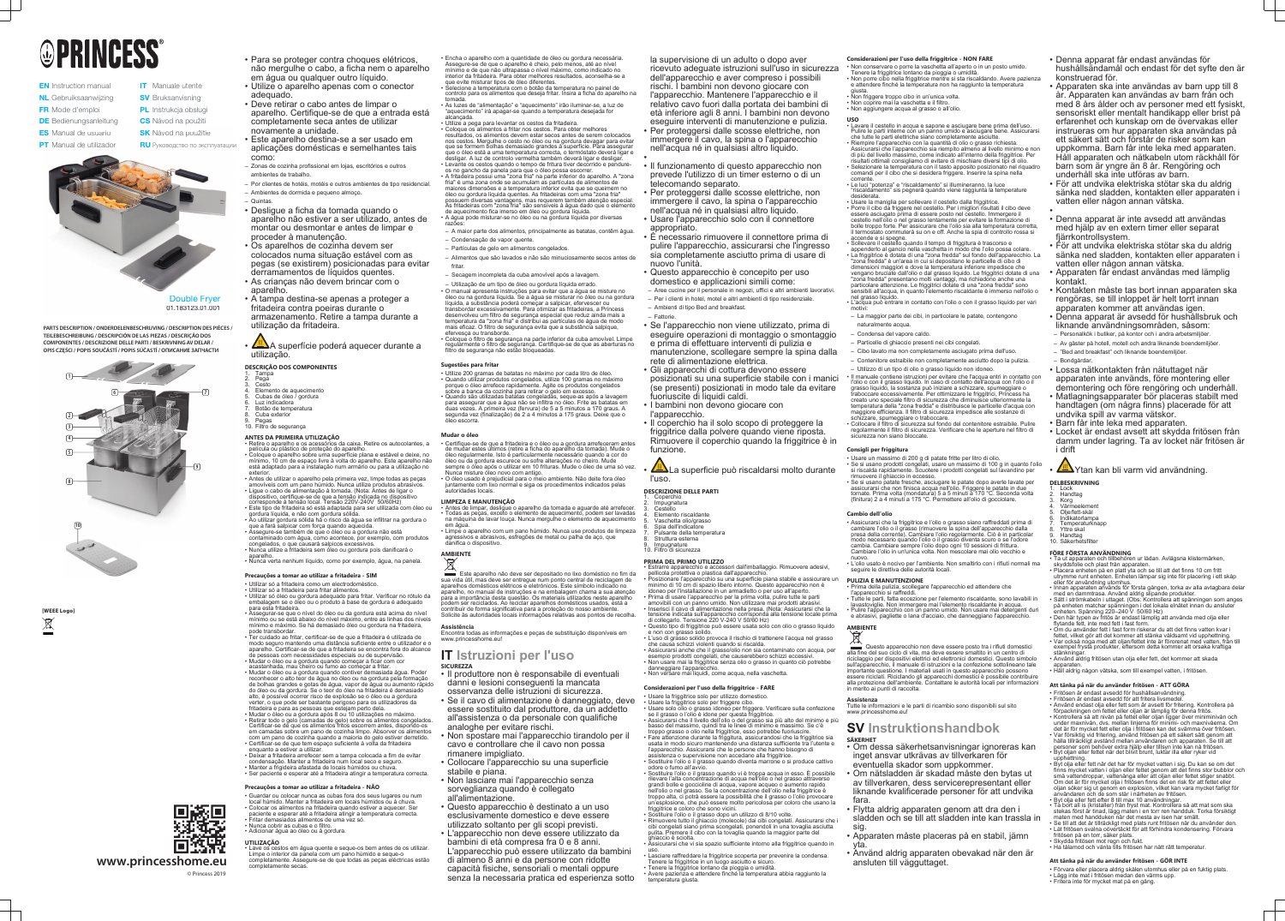# **OPRINCESS**

- **EN** Instruction manual NL Gebruiksaanwijzing
- FR Mode d'emploi
- **ES** Manual de usuario
- **PT** Manual de utilizador
- **SV** Bruksanvisning PL Instrukcja obsługi

**IT** Manuale utente

- **DE** Bedienungsanleitung **CS** Návod na p<br>**ES** Manual de usuario **SK** Návod na p **CS** Návod na použití **SK** Návod na použitie
	- **RU** Руководство по эксплуатации



**PARTS DESCRIPTION / ONDERDELENBESCHRIJVING / DESCRIPTION DES PIÈCES / TEILEBESCHREIBUNG / DESCRIPCIÓN DE LAS PIEZAS / DESCRIÇÃO DOS COMPONENTES / DESCRIZIONE DELLE PARTI / BESKRIVNING AV DELAR /**  COMPONENTES / DESCRIZIONE DELLE PARTI / BESKRIVNING AV DELAR /<br>OPIS CZĘŚCI / POPIS SOUČÁSTÍ / POPIS SÚČASTÍ / OПИСАНИЕ ЗАПЧАСТИ

Double Fryer 01.183123.01.001



**www.princesshome.eu**

© Princess 2019

回透回



# • Para se proteger contra choques elétricos, não mergulhe o cabo, a ficha nem o aparelho em água ou qualquer outro líquido.

- Utilize o aparelho apenas com o conector adequado.
- Deve retirar o cabo antes de limpar o aparelho. Certifique-se de que a entrada está completamente seca antes de utilizar novamente a unidade.
- Este aparelho destina-se a ser usado em aplicações domésticas e semelhantes tais como:
- Zonas de cozinha profissional em lojas, escritórios e outros ambientes de trabalho.
- Por clientes de hotéis, motéis e outros ambientes de tipo residencial. – Ambientes de dormida e pequeno almoço.
- Quintas.
- Desligue a ficha da tomada quando o aparelho não estiver a ser utilizado, antes de montar ou desmontar e antes de limpar e proceder à manutenção.
- Os aparelhos de cozinha devem ser colocados numa situação estável com as pegas (se existirem) posicionadas para evitar derramamentos de líquidos quentes.
- As crianças não devem brincar com o aparelho.
- A tampa destina-se apenas a proteger a fritadeira contra poeiras durante o armazenamento. Retire a tampa durante a utilização da fritadeira.
- A superfície poderá aquecer durante a utilização.

# **DESCRIÇÃO DOS COMPONENTES**

**UTILIZAÇÃO** • Lave os cestos em água quente e seque-os bem antes de os utilizar. Limpe o interior da panela com um pano húmido e seque-o completamente. Assegure-se de que todas as peças eléctricas estão completamente secas.

- 1. Tampa 2. Pega
- Cesto 4. Elemento de aquecimento
- 5. Cubas de óleo / gordura
- Luz indicadora 7. Botão de temperatura
- Cuba exterior
- Pegas 10. Filtro de segurança
- **ANTES DA PRIMEIRA UTILIZAÇÃO**
- Retire o aparelho e os acessórios da caixa. Retire os autocolantes, a película ou plástico de proteção do aparelho.
- Coloque o aparelho sobre uma superfície plana e estável e deixe, no mínimo, 10 cm de espaço livre à volta do aparelho. Este aparelho não está adaptado para a instalação num armário ou para a utilização no exterior.
- Antes de utilizar o aparelho pela primeira vez, limpe todas as peças amovíveis com um pano húmido. Nunca utilize produtos abrasivo • Ligue o cabo de alimentação à tomada. (Nota: Antes de ligar o
- dispositivo, certifique-se de que a tensão indicada no dispositivo corresponde à tensão local. Tensão 220V-240V 50/60Hz) • Este tipo de fritadeira só está adaptada para ser utilizada com óleo ou
- gordura líquida, e não com gordura sólida. • Ao utilizar gordura sólida há o risco da água se infiltrar na gordura o que a fará salpicar com força quando aquecida.
- Assegure-se também de que o óleo ou a gordura não está contaminado com água, como acontece, por exemplo, com produtos congelados, o que causará salpicos excessivos.
- Nunca utilize a fritadeira sem óleo ou gordura pois danificará o
- aparelho. Nunca verta nenhum líquido, como por exemplo, água, na panela.
- **Precauções a tomar ao utilizar a fritadeira SIM**
- Utilizar só a fritadeira como um electrodoméstico.
- Utilizar só a fritadeira para fritar alimentos. • Utilizar só óleo ou gordura adequado para fritar. Verificar no rótulo da embalagem se o óleo ou o produto à base de gordura é adequado
- para esta fritadeira. Assegurar-se que o nível do óleo ou da gordura está acima do nível mínimo ou se está abaixo do nível máximo, entre as linhas dos níveis mínimo e máximo. Se há demasiado óleo ou gordura na fritadeira, pode transbordar.
- Ter cuidado ao fritar, certificar-se de que a fritadeira é utilizada de modo seguro mantendo uma distância suficiente entre o utilizador e o aparelho. Certificar-se de que a fritadeira se encontra fora do alcance
- de pessoas com necessidades especiais ou de supervisão. • Mudar o óleo ou a gordura quando começar a ficar com cor acastanhada, mau cheiro ou fumo ao começar a fritar.
- Mudar o óleo ou a gordura quando contiver demasiada água. Poder reconhecer o alto teor de água no óleo ou na gordura pela formação de bolhas grandes e gotas de água, vapor de água ou aumento rápido do óleo ou da gordura. Se o teor do óleo na fritadeira é demasiado alto, é possível ocorrer risco de explosão se o óleo ou a gordura verter, o que pode ser bastante perigoso para os utilizadores da fritadeira e para as pessoas que estejam perto dela.
- Mudar o óleo ou a gordura após 8 ou 10 utilizações no máximo. • Retirar todo o gelo (camadas de gelo) sobre os alimentos congelados. Certificar-se de que os alimentos fritos escorrem antes, dispondo-os
- em camadas sobre um pano de cozinha limpo. Absorver os alimentos com um pano de cozinha quando a maioria do gelo estiver derretido. • Certificar-se de que tem espaço suficiente à volta da fritadeira
- enquanto a estiver a utilizar. Deixar a fritadeira arrefecer sem a tampa colocada a fim de evitar
- condensação. Manter a fritadeira num local seco e seguro. • Manter a frigideira afastada de locais húmidos ou chuva.
- Ser paciente e esperar até a fritadeira atingir a temperatura correcta.
- Utilize 200 gramas de batatas no máximo por cada litro de óleo. • Quando utilizar produtos congelados, utilize 100 gramas no máximo
- porque o óleo arrefece rapidamente. Agite os produtos congelados sobre a banca da cozinha para retirar o gelo em excesso. • Quando são utilizadas batatas congeladas, seque-as após a lavagem para assegurar que a água não se infiltra no óleo. Frite as batatas em duas vezes. A primeira vez (fervura) de 5 a 5 minutos a 170 graus. A segunda vez (finalização) de 2 a 4 minutos a 175 graus. Deixe que o

# **Precauções a tomar ao utilizar a fritadeira - NÃO**

- Guardar ou colocar nunca as cubas fora dos seus lugares ou num local húmido. Manter a fritadeira em locais húmidos ou à chuva.
- Colocar os alimentos na fritadeira quando estiver a aquecer. Ser paciente e esperar até a fritadeira atingir a temperatura correcta.
- Fritar demasiados alimentos de uma vez só. • Nunca cobrir as cubas e o filtro.
- Adicionar água ao óleo ou à gordura.

• Encha o aparelho com a quantidade de óleo ou gordura necessária. Assegure-se de que o aparelho é cheio, pelo menos, até ao nível mínimo e de que não ultrapassa o nível máximo, como indicado no

> La superficie può riscaldarsi molto durante l'uso.

#### Coperchio 2. Impugnatura

- Cestello 4. Elemento riscaldante
- Vaschetta olio/grasso
- Spia dell'indicatore Pulsante della temperatura
- Struttura esterna
- **Impugnature**
- interior da fritadeira. Para obter melhores resultados, aconselha-se a que evite misturar tipos de óleo diferentes. • Selecione a temperatura com o botão da temperatura no painel de
- controlo para os alimentos que deseja fritar. Insira a ficha do aparelho na tomada. • As luzes de "alimentação" e "aquecimento" irão iluminar-se, a luz de
- "aquecimento" irá apagar-se quando a temperatura desejada for alcançada. • Utilize a pega para levantar os cestos da fritadeira.
- Coloque os alimentos a fritar nos cestos. Para obter melhores
- resultados, os alimentos devem estar secos antes de serem colocados nos cestos. Mergulhe o cesto no óleo ou na gordura devagar para evitar que se formem bolhas demasiado grandes à superfície. Para assegurar que o óleo está a uma temperatura correcta, o termóstato deverá ligar e desligar. A luz de controlo vermelha também deverá ligar e desligar • Levante os cestos quando o tempo de fritura tiver decorrido e pendure-
- os no gancho da panela para que o óleo possa escorrer. • A fritadeira possui uma "zona fria" na parte inferior do aparelho. A "zona fria" é uma zona onde se acumulam as partículas de alimentos de maiores dimensões e a temperatura inferior evita que se queimem no óleo ou gordura líquida quentes. As fritadeiras com uma "zona fria" possuem diversas vantagens, mas requerem também atenção especial. .<br>As fritadeiras com "zona fria" são sensíveis à água dado que o elemento de aquecimento fica imerso em óleo ou gordura líquida.
- A água pode misturar-se no óleo ou na gordura líquida por diversas razões: – A maior parte dos alimentos, principalmente as batatas, contêm água. – Condensação de vapor quente.
- Partículas de gelo em alimentos congelados.
- Alimentos que são lavados e não são minuciosamente secos antes de fritar
- Secagem incompleta da cuba amovível após a lavagem.
- Utilização de um tipo de óleo ou gordura líquida errado. • O manual apresenta instruções para evitar que a água se misture no óleo ou na gordura líquida. Se a água se misturar no óleo ou na gordura líquida, a substância poderá começar a salpicar, efervescer ou transbordar excessivamente. Para otimizar as fritadeiras, a Princess desenvolveu um filtro de segurança especial que reduz ainda mais a temperatura da "zona fria" e distribui as partículas de água de modo mais eficaz. O filtro de segurança evita que a substância salpique,
- efervesça ou transborde. • Coloque o filtro de segurança na parte inferior da cuba amovível. Limpe regularmente o filtro de segurança. Certifique-se de que as aberturas no filtro de segurança não estão bloqueadas.

# **Sugestões para fritar**

óleo escorra.

# **Mudar o óleo**

- Certifique-se de que a fritadeira e o óleo ou a gordura arrefeceram antes de mudar estes últimos (retire a ficha do aparelho da tomada). Mude o óleo regularmente. Isto é particularmente necessário quando a cor do óleo ou da gordura escurece ou sofre alterações no cheiro. Mude sempre o óleo após o utilizar em 10 frituras. Mude o óleo de uma só vez.
- Nunca misture óleo novo com antigo. • O óleo usado é prejudicial para o meio ambiente. Não deite fora óleo juntamente com lixó normal e siga os procedimentos indicados pelas autoridades locais.

# **LIMPEZA E MANUTENÇÃO**

• Antes de limpar, desligue o aparelho da tomada e aguarde até arrefecer. • Todas as peças, exceto o elemento de aquecimento, podem ser lavadas na máquina de lavar louça. Nunca mergulhe o elemento de aquecimento em água.

#### • Limpe o aparelho com um pano húmido. Nunca use produtos de limpeza agressivos e abrasivos, esfregões de metal ou palha de aço, que danifica o dispositivo.



Este aparelho não deve ser depositado no lixo doméstico no fim da sua vida útil, mas deve ser entregue num ponto central de reciclagem de aparelhos domésticos elétricos e eletrónicos. Este símbolo indicado no aparelho, no manual de instruções e na embalagem chama a sua atenção para a importância desta questão. Os materiais utilizados neste aparelho podem ser reciclados. Ao reciclar aparelhos domésticos usados, está a contribuir de forma significativa para a proteção do nosso ambiente. Solicite às autoridades locais informações relativas aos pontos de recolha.

# **Assistência**

Encontra todas as informações e peças de substituição disponíveis em www.princesshome.eu!

# **IT Istruzioni per l'uso SICUREZZA**

Questo apparecchio non deve essere posto tra i rifiuti domestici alla fine del suo ciclo di vita, ma deve essere smaltito in un centro di riciclaggio per dispositivi elettrici ed elettronici domestici. Questo simbolo sull'apparecchio, il manuale di istruzioni e la confezione sottolineano tale importante questione. I materiali usati in questo apparecchio possono essere riciclati. Riciclando gli apparecchi domestici è possibile contribuire alla protezione dell'ambiente. Contattare le autorità locali per informazioni in merito ai punti di raccolta.

- Il produttore non è responsabile di eventuali danni e lesioni conseguenti la mancata
- osservanza delle istruzioni di sicurezza. • Se il cavo di alimentazione è danneggiato, deve essere sostituito dal produttore, da un addetto all'assistenza o da personale con qualifiche analoghe per evitare rischi.
- Non spostare mai l'apparecchio tirandolo per il cavo e controllare che il cavo non possa rimanere impigliato.
- Collocare l'apparecchio su una superficie stabile e piana.
- Non lasciare mai l'apparecchio senza sorveglianza quando è collegato all'alimentazione.
- Questo apparecchio è destinato a un uso esclusivamente domestico e deve essere utilizzato soltanto per gli scopi previsti.
- L'apparecchio non deve essere utilizzato da bambini di età compresa fra 0 e 8 anni. L'apparecchio può essere utilizzato da bambini di almeno 8 anni e da persone con ridotte capacità fisiche, sensoriali o mentali oppure senza la necessaria pratica ed esperienza sotto

la supervisione di un adulto o dopo aver ricevuto adeguate istruzioni sull'uso in sicurezza dell'apparecchio e aver compreso i possibili rischi. I bambini non devono giocare con l'apparecchio. Mantenere l'apparecchio e il relativo cavo fuori dalla portata dei bambini di età inferiore agli 8 anni. I bambini non devono eseguire interventi di manutenzione e pulizia. • Per proteggersi dalle scosse elettriche, non immergere il cavo, la spina o l'apparecchio nell'acqua né in qualsiasi altro liquido.

- •
- 
- 
- 
- 
- 

• Il funzionamento di questo apparecchio non prevede l'utilizzo di un timer esterno o di un telecomando separato.

- Per proteggersi dalle scosse elettriche, non immergere il cavo, la spina o l'apparecchio nell'acqua né in qualsiasi altro liquido. • Usare l'apparecchio solo con il connettore
- appropriato. • È necessario rimuovere il connettore prima di
- pulire l'apparecchio, assicurarsi che l'ingresso sia completamente asciutto prima di usare di nuovo l'unità.
- Questo apparecchio è concepito per uso domestico e applicazioni simili come: – Aree cucine per il personale in negozi, uffici e altri ambienti lavorativi.
- Per i clienti in hotel, motel e altri ambienti di tipo residenziale. – Ambienti di tipo Bed and breakfast.

# – Fattorie.

• Se l'apparecchio non viene utilizzato, prima di eseguire operazioni di montaggio o smontaggio e prima di effettuare interventi di pulizia e

- manutenzione, scollegare sempre la spina dalla rete di alimentazione elettrica. • Gli apparecchi di cottura devono essere
- posizionati su una superficie stabile con i manici
- (se presenti) posizionati in modo tale da evitare fuoriuscite di liquidi caldi. • I bambini non devono giocare con
- l'apparecchio.

• Il coperchio ha il solo scopo di proteggere la friggitrice dalla polvere quando viene riposta. Rimuovere il coperchio quando la friggitrice è in funzione.

**DESCRIZIONE DELLE PARTI**

10. Filtro di sicurezza

# **PRIMA DEL PRIMO UTILIZZO**

- Estrarre apparecchio e accessori dall'imballaggio. Rimuovere adesivi, pellicola protettiva o plastica dall'apparecchio. • Posizionare l'apparecchio su una superficie piana stabile e assicurare un minimo di 10 cm di spazio libero intorno. Questo apparecchio non è
- idoneo per l'installazione in un armadietto o per uso all'aperto. • Prima di usare l'apparecchio per la prima volta, pulire tutte le parti amovibili con un panno umido. Non utilizzare mai prodotti abrasivi. • Inserisci il cavo di alimentazione nella presa. (Nota: Assicurarsi che la
- tensione indicata sull'apparecchio corrisponda alla tensione locale prima di collegarlo. Tensione 220 V-240 V 50/60 Hz) Questo tipo di friggitrice può essere usata solo con olio o grasso liquido
- e non con grasso solido. • L'uso di grasso solido provoca il rischio di trattenere l'acqua nel grasso che causa schizzi violenti quando si riscalda.
- Assicurarsi anche che il grasso/olio non sia contaminato con acqua, per esempio prodotti congelati, che causerebbero schizzi eccessivi. • Non usare mai la friggitrice senza olio o grasso in quanto ciò potrebbe danneggiare l'apparecchio.

• Non versare mai liquidi, come acqua, nella vaschetta.

#### **Considerazioni per l'uso della friggitrice - FARE** • Usare la friggitrice solo per utilizzo domestico.

• Usare la friggitrice solo per friggere cibo.

- Usare solo olio o grasso idoneo per friggere. Verificare sulla confezione se il grasso o l'olio è idone per questa friggitrice. • Assicurarsi che il livello dell'olio o del grasso sia più alto del minimo e più
- basso del massimo, quindi tra le linee di minimo e massimo. Se c'è troppo grasso o olio nella friggitrice, esso potrebbe fuoriuscire. • Fare attenzione durante la friggitura, assicurandosi che la friggitrice sia usata in modo sicuro mantenendo una distanza sufficiente tra l'utente e
- l'apparecchio. Assicurarsi che le persone che hanno bisogno di assistenza o supervisione non accedano alla friggitrice. • Sostituire l'olio o il grasso quando diventa marrone o si produce cattivo
- odore o fumo all'avvio. • Sostituire l'olio o il grasso quando vi è troppa acqua in esso. È possibile rilevare l'alta concentrazione di acqua nell'olio o nel grasso attraverso grandi bolle e goccioline di acqua, vapore acqueo o aumento rapido
- nell'olio o nel grasso. Se la concentrazione dell'olio nella friggitrice è troppo alta, ci potrà essere la possibilità che il grasso o l'olio provocare un'esplosione, che può essere molto pericolosa per coloro che usano la friggitrice e coloro che sono vicini.
- Sostituire l'olio o il grasso dopo un utilizzo di 8/10 volte. • Rimuovere tutto il ghiaccio (molecole) dai cibi congelati. Assicurarsi che i cibi congelati siano prima scongelati, ponendoli in una tovaglia asciutta pulita. Premere il cibo con la tovaglia quando la maggior parte del ghiaccio è sciolta.
- Assicurarsi che vi sia spazio sufficiente intorno alla friggitrice quando in • Lasciare raffreddare la friggitrice scoperta per prevenire la condensa.
- Tenere la friggitrice in un luogo asciutto e sicuro.

uso.

• Tenere la friggitrice lontano da pioggia o umidità. • Avere pazienza e attendere finché la temperatura abbia raggiunto la temperatura giusta.

# **Considerazioni per l'uso della friggitrice - NON FARE**

- Non conservare o porre la vaschetta all'aperto o in un posto umido. Tenere la friggitrice lontano da pioggia o umidità. • Non porre cibo nella friggitrice mentre si sta riscaldando. Avere pazienza e attendere finché la temperatura non ha raggiunto la temperatura
- giusta. • Non friggere troppo cibo in un'unica volta.
- Non coprire mai la vaschetta e il filtro. • Non aggiungere acqua al grasso o all'olio.
- 
- **USO** Lavare il cestello in acqua e sapone e asciugare bene prima dell'uso. Pulire le parti interne con un panno umido e asciugare bene. Assicurarsi che tutte le parti elettriche siano completamente asciutte.
- Riempire l'apparecchio con la quantità di olio o grasso richiesta. Assicurarsi che l'apparecchio sia riempito almeno al livello minimo e non di più del livello massimo, come indicato all'interno della friggitrice. Per risultati ottimali consigliamo di evitare di mischiare diversi tipi di olio. • Selezionare la temperatura con il tasto apposito posizionato nel riquadro
- comandi per il cibo che si desidera friggere. Inserire la spina nella corrente. • Le luci "potenza" e "riscaldamento" si illumineranno, la luce
- "riscaldamento" sis pegnerà quando viene raggiunta la temperature desiderata.
- Usare la maniglia per sollevare il cestello dalla friggitrice • Porre il cibo da friggere nel cestello. Per i migliori risultati il cibo deve essere asciugato prima di essere posto nel cestello. Immergere il cestello nell'olio o nel grasso lentamente per evitare la formazione di bolle troppo forte. Per assicurare che l'olio sia alla temperatura corretta, il termostato commuterà su on e off. Anche la spia di controllo rossa si accende e si spegne.
- Sollevare il cestello quando il tempo di friggitura è trascorso e appenderlo al gancio nella vaschetta in modo che l'olio possa colare. • La friggitrice è dotata di una "zona fredda" sul fondo dell'apparecchio. La "zona fredda" è un'area in cui si depositano le particelle di cibo di dimensioni maggiori e dove la temperatura inferiore impedisce che vengano bruciate dall'olio o dal grasso liquido. Le friggitrici dotate di una 'zona fredda" presentano molti vantaggi, ma richiedono anche una
- particolare attenzione. Le friggitrici dotate di una "zona fredda" sono sensibili all'acqua, in quanto l'elemento riscaldante è immerso nell'olio o nel grasso liquido. • L'acqua può entrare in contatto con l'olio o con il grasso liquido per vari
- motivi:
- La maggior parte dei cibi, in particolare le patate, contengono naturalmente acqua.
- Condensa del vapore caldo.
- Particelle di ghiaccio presenti nei cibi congelati.
- Cibo lavato ma non completamente asciugato prima dell'uso.
- Contenitore estraibile non completamente asciutto dopo la pulizia. – Utilizzo di un tipo di olio o grasso liquido non idoneo.
- Il manuale contiene istruzioni per evitare che l'acqua entri in contatto con l'olio o con il grasso liquido. In caso di contatto dell'acqua con l'olio o il grasso liquido, la sostanza può iniziare a schizzare, spumeggiare o traboccare eccessivamente. Per ottimizzare le friggitrici, Princess ha creato uno speciale filtro di sicurezza che diminuisce ulteriormente la temperatura della "zona fredda" e distribuisce le particelle d'acqua con maggiore efficienza. Il filtro di sicurezza impedisce alle sostanze di schizzare, spumeggiare o traboccare.
- Collocare il filtro di sicurezza sul fondo del contenitore estraibile. Pulire regolarmente il filtro di sicurezza. Verificare che le aperture nel filtro di sicurezza non siano bloccate.

## **Consigli per friggitura**

- Usare un massimo di 200 g di patate fritte per litro di olio. • Se si usano prodotti congelati, usare un massimo di 100 g in quanto l'olio si riscalda rapidamente. Scuotere i prodotti congelati sul lavandino per
- rimuovere il ghiaccio in eccesso. • Se si usano patate fresche, asciugare le patate dopo averle lavate per assicurarsi che non finisca acqua nell'olio. Friggere le patate in due tornate. Prima volta (mondatura) 5 a 5 minuti a 170 °C. Seconda volta (finitura) 2 a 4 minuti a 175 °C. Permettere all'olio di gocciolare.

### **Cambio dell'olio**

- Assicurarsi che la friggitrice e l'olio o grasso siano raffreddati prima di cambiare l'olio o il grasso (rimuovere la spina dell'apparecchio dalla presa della corrente). Cambiare l'olio regolarmente. Ciò è in particolar modo necessario quando l'olio o il grasso diventa scuro o se l'odore cambia. Cambiare sempre l'olio dopo ogni 10 sessioni di frittura. Cambiare l'olio in un'unica volta. Non mescolare mai olio vecchio e
- nuovo. L'olio usato è nocivo per l'ambiente. Non smaltirlo con i rifiuti normali ma seguire le direttiva delle autorità locali.

### **PULIZIA E MANUTENZIONE**

- Prima della pulizia, scollegare l'apparecchio ed attendere che l'apparecchio si raffreddi.
- Tutte le parti, fatta eccezione per l'elemento riscaldante, sono lavabili in lavastoviglie. Non immergere mai l'elemento riscaldante in acqua. • Pulire l'apparecchio con un panno umido. Non usare mai detergenti duri e abrasivi, pagliette o lana d'acciaio, che danneggiano l'apparecchio.

# **AMBIENTE**

### **Assistenza**

Tutte le informazioni e le parti di ricambio sono disponibili sul sito www.princesshome.eu!

# **SV Instruktionshandbok SÄKERHET**

- Om dessa säkerhetsanvisningar ignoreras kan inget ansvar utkrävas av tillverkaren för eventuella skador som uppkommer.
- Om nätsladden är skadad måste den bytas ut av tillverkaren, dess servicerepresentant eller liknande kvalificerade personer för att undvika fara.
- Flytta aldrig apparaten genom att dra den i sladden och se till att sladden inte kan trassla in sig.
- Apparaten måste placeras på en stabil, jämn yta.
- Använd aldrig apparaten obevakad när den är ansluten till vägguttaget.
- Denna apparat får endast användas för hushållsändamål och endast för det syfte den är konstruerad för.
- Apparaten ska inte användas av barn upp till 8 år. Apparaten kan användas av barn från och med 8 års ålder och av personer med ett fysiskt, sensoriskt eller mentalt handikapp eller brist på erfarenhet och kunskap om de övervakas eller instrueras om hur apparaten ska användas på ett säkert sätt och förstår de risker som kan uppkomma. Barn får inte leka med apparaten. Håll apparaten och nätkabeln utom räckhåll för barn som är yngre än 8 år. Rengöring och underhåll ska inte utföras av barn.
- För att undvika elektriska stötar ska du aldrig sänka ned sladden, kontakten eller apparaten i vatten eller någon annan vätska.
- • Denna apparat är inte avsedd att användas med hjälp av en extern timer eller separat fjärrkontrollsystem.
- För att undvika elektriska stötar ska du aldrig sänka ned sladden, kontakten eller apparaten i vatten eller någon annan vätska.
- Apparaten får endast användas med lämplig kontakt.
- Kontakten måste tas bort innan apparaten ska rengöras, se till inloppet är helt torrt innan apparaten kommer att användas igen.
- Denna apparat är avsedd för hushållsbruk och liknande användningsområden, såsom:
- Personalkök i butiker, på kontor och i andra arbetsmiljöer. – Av gäster på hotell, motell och andra liknande boendemiljöer.
- "Bed and breakfast" och liknande boendemiljöer.
- Bondgårdar.
- Lossa nätkontakten från nätuttaget när apparaten inte används, före montering eller demontering och före rengöring och underhåll.
- Matlagningsapparater bör placeras stabilt med handtagen (om några finns) placerade för att undvika spill av varma vätskor.
- Barn får inte leka med apparaten.
- Locket är endast avsett att skydda fritösen från damm under lagring. Ta av locket när fritösen är i drift

<u>/<sup>∭</sup>N</u>Ytan kan bli varm vid användning.

# **DELBESKRIVNING**

- 1. Lock 2. Handtag 3. Korg
- Värmeelement 5. Olje/fett-skål

9. Handtag 10. Säkerhetsfilter

**FÖRE FÖRSTA ANVÄNDNING**

• Ta ut apparaten och tillbehören ur lådan. Avlägsna klistermärken,

skyddsfolie och plast från apparaten.

flytande fett, inte med fett i fast form.

• Placera enheten på en platt yta och se till att det finns 10 cm fritt utrymme runt enheten. Enheten lämpar sig inte för placering i ett skåp

eller för användning utomhus.

• Innan apparaten används för första gången, torka av alla avtagbara delar

med en dammtrasa. Använd aldrig slipande produkter.

• Sätt i strömkabeln i uttaget. (Obs: Kontrollera att spänningen som anges på enheten matchar spänningen i det lokala elnätet innan du ansluter enheten. Spänning 220–240 V 50/60 Hz) • Den här typen av fritös är endast lämplig att använda med olja eller

• Om du använder fett i fast form riskerar du att det finns vatten kvar i fettet, vilket gör att det kommer att stänka våldsamt vid upphettning. • Var också noga med att oljan/fettet inte är förorenat med vatten, från till exempel frysta produkter, eftersom detta kommer att orsaka kraftiga

stänkningar.

apparatei

Inḋikatorlampa **Temperaturknapp** Yttre skal

• Använd aldrig fritösen utan olja eller fett, det kommer att skada

• Häll aldrig någon vätska, som till exempel vatten, i fritösen.

**Att tänka på när du använder fritösen - ATT GÖRA** • Fritösen är endast avsedd för hushållsanvändning. • Fritösen är endast avsedd för att fritera livsmedel.

• Använd endast olja eller fett som är avsett för fritering. Kontrollera på förpackningen om fettet eller oljan är lämplig för denna fritös. • Kontrollera så att nivån på fettet eller oljan ligger över miniminivån och under maxnivån, dvs. mellan linjerna för minimi- och maxnivåerna. Om det är för mycket fett eller olja i fritösen kan det svämma över fritösen. • Var försiktig vid fritering, använd fritösen på ett säkert sätt genom att hålla tillräckligt avstånd mellan användaren och apparaten. Se till att personer som behöver extra hjälp eller tillsyn inte kan nå fritösen. • Byt oljan eller fettet när det blivit brunt, luktar illa eller ryker vid upphettning. • Byt olja eller fett när det har för mycket vatten i sig. Du kan se om det finns mycket vatten i oljan eller fettet genom att det finns stor bubblor och små vattendroppar, vattenånga eller att oljan eller fettet stiger snabbt. Om det är för mycket olja i fritösen finns det en risk för att fettet eller oljan söker sig ut genom en explosion, vilket kan vara mycket farligt för

användaren och de som står i närheten av fritösen. • Byt olja eller fett efter 8 till max 10 användningar.

• Ta bort all is (kristaller) från fryst mat. Kontrollera så att mat som ska stekas först är tinad, lägg maten i en torr ren handduk. Torka försiktigt

maten med handduken när det mesta av isen har smält.

• Se till att det är tillräckligt med plats runt fritösen när du använder den. • Låt fritösen svalna oövertäckt för att förhindra kondensering. Förvara

fritösen på en torr, säker plats. • Skydda fritösen mot regn och fukt.

• Ha tålamod och vänta tills fritösen har nått rätt temperatur.

**Att tänka på när du använder fritösen - GÖR INTE**

• Förvara eller placera aldrig skålen utomhus eller på en fuktig plats.

• Lägg inte mat i fritösen medan den värms upp. • Fritera inte för mycket mat på en gång.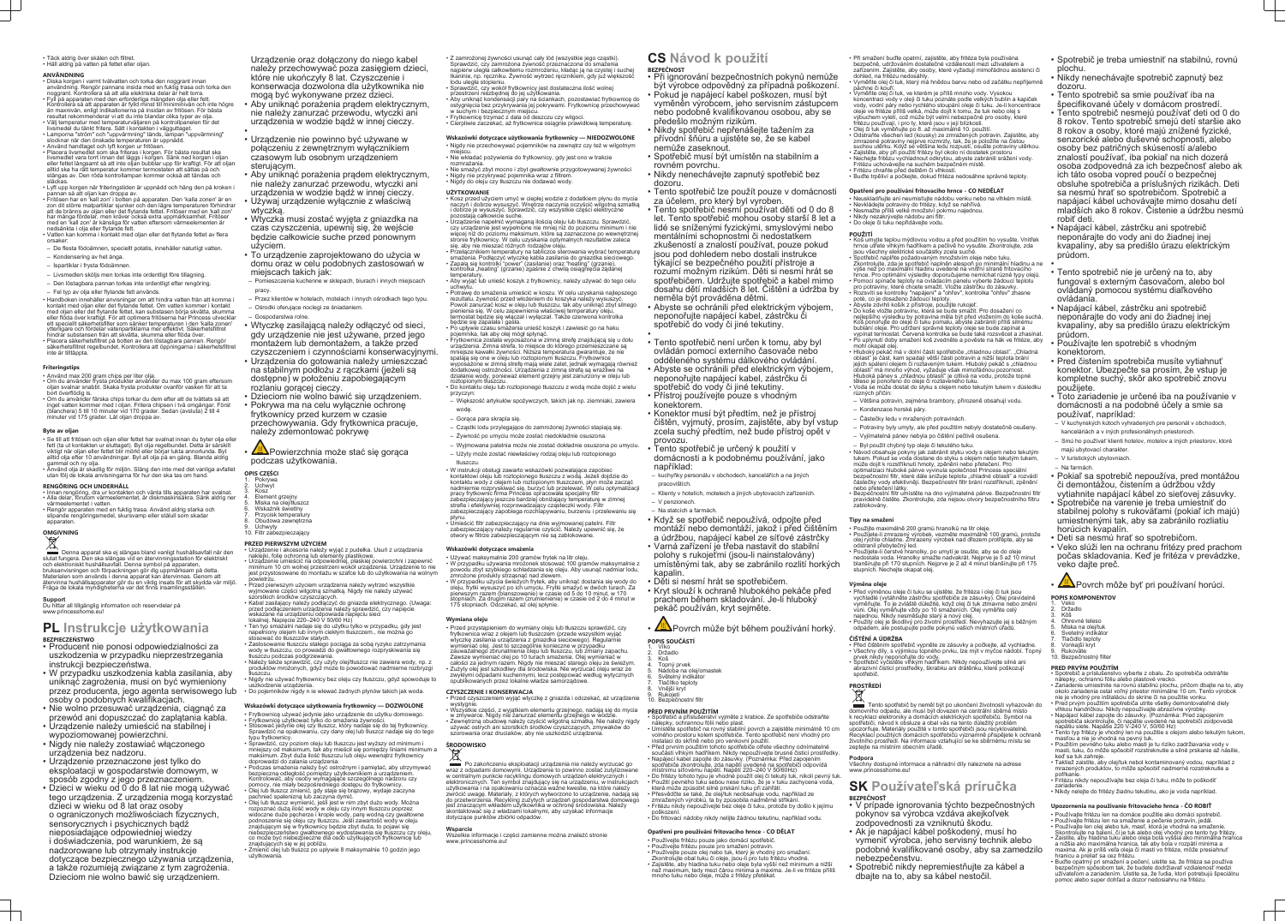#### • Täck aldrig över skålen och filtret. • Häll aldrig på vatten på fettet eller oljan.

# **ANVÄNDNING**

- Diska korgen i varmt tvålvatten och torka den noggrant innan användning. Rengör pannans insida med en fuktig trasa och torka den noggrant. Kontrollera så att alla elektriska delar är helt torra.
- Fyll på apparaten med den erforderliga mängden olja eller fett. Kontrollera så att apparaten är fylld minst till miniminivån och inte högre än maxnivån, enligt indikationerna på insidan av fritösen. För bästa
- resultat rekommenderar vi att du inte blandar olika typer av olja. • Välj temperatur med temperaturväljaren på kontrollpanelen för det livsmedel du tänkt fritera. Sätt i kontakten i vägguttaget. • Lamporna "ström" och "uppvärmning" tänds, lampan "uppvärmning"
- slocknar när den önskade temperaturen är uppnådd. • Använd handtaget och lyft korgen ur fritösen • Placera livsmedlet som ska friteras i korgen. För bästa resultat ska
- livsmedlet vara torrt innan det läggs i korgen. Sänk ned korgen i oljan eller fettet långsamt så att inte oljan bubblar upp för kraftigt. För att oljan alltid ska ha rätt temperatur kommer termostaten att sättas på och stängas av. Den röda kontrollampan kommer också att tändas och släckas.
- Lyft upp korgen när friteringstiden är uppnådd och häng den på kroken i pannan så att oljan kan droppa av. • Fritösen har en 'kall zon' i botten på apparaten. Den 'kalla zonen' är en
- zon dit större matpartiklar sjunker och den lägre temperaturen förhindrar att de bränns av oljan eller det flytande fettet. Fritöser med en 'kall zon' har många fördelar, men kräver också extra uppmärksamhet. Fritöser med en 'kall zon' är känsliga för vatten eftersom värmeelementen är nedsänkta i olja eller flytande fett. • Vatten kan komma i kontakt med oljan eller det flytande fettet av flera
- orsaker: – De flesta födoämnen, speciellt potatis, innehåller naturligt vatten.
- Kondensering av het ånga.
- Ispartiklar i frysta födoämnen.
- Livsmedlen sköljs men torkas inte ordentligt före tillagning.
- Den löstagbara pannan torkas inte ordentligt efter rengöring.
- Fel typ av olja eller flytande fett används.
- Handboken innehåller anvisningar om att hindra vatten från att komma i kontakt med oljan eller det flytande fettet. Om vatten kommer i kontakt med oljan eller det flytande fettet, kan substasen börja skvätta, skumma eller flöda över kraftigt. För att optimera fritöserna har Princess utvecklar ett speciellt säkerhetsfilter som sänker temperaturen i den 'kalla zonen' ytterligare och fördelar vatenpartiklarna mer effektivt. Säkerhetsfiltret
- hindrar substansen från att skvätta, skumma eller flöda över. • Placera säkerhetsfiltret på botten av den löstagbara pannan. Rengör säkerhetsfiltret regelbundet. Kontrollera att öppningarna i säkerhetsfiltret inte är tilltäppta.

slutat fungera. Den ska slängas vid en återvinningsstation för elektriskt och elektroniskt hushållsavfall. Denna symbol på apparaten, bruksanvisningen och förpackningen gör dig uppmärksam på detta. Materialen som används i denna apparat kan återvinnas. Genom att återvinna hushållsapparater gör du en viktig insats för att skydda vår miljö. Fråga de lokala myndigheterna var det finns insamlingsställer

# **Friteringstips**

- Använd max 200 gram chips per liter olja. Om du använder frysta produkter använder du max 100 gram eftersom oljan svalnar snabbt. Skaka frysta produkter ovanför vasken för att ta bort överflödig is.
- Om du använder färska chips torkar du dem efter att de tvättats så att inget vatten kommer med i oljan. Fritera chipsen i två omgångar. Först (blanchera) 5 till 10 minuter vid 170 grader. Sedan (avsluta) 2 till 4 minuter vid 175 grader. Låt oljan droppa av.

#### **Byte av oljan**

- Se till att fritösen och oljan eller fettet har svalnat innan du byter olja eller fett (ta ut kontakten ur eluttaget). Byt olja regelbundet. Detta är särskilt viktigt när oljan eller fettet blir mörkt eller börjar lukta annorlunda. Byt alltid olja efter 10 användningar. Byt all olja på en gång. Blanda aldrig
- gammal och ny olja. • Använd olja är skadlig för miljön. Släng den inte med det vanliga avfallet utan följ de lokala anvisningarna för hur den ska tas om hand.

## **RENGÖRING OCH UNDERHÅLL**

- Innan rengöring, dra ur kontakten och vänta tills apparaten har svalnat. • Alla delar, förutom värmeelementet, är diskmaskinsäkra. Sänk aldrig ner
- värmeelementet i vatten. • Rengör apparaten med en fuktig trasa. Använd aldrig starka och slipande rengöringsmedel, skursvamp eller stålull som skada
- apparaten.

# **OMGIVNING**

Denna apparat ska ej slängas bland vanligt hushållsavfall när den

**Support** Du hittar all tillgänglig information och reservdelar på www.princesshome.eu!

# **PL Instrukcje użytkowania BEZPIECZEŃSTWO**

- Producent nie ponosi odpowiedzialności za uszkodzenia w przypadku nieprzestrzegania instrukcji bezpieczeństwa.
- W przypadku uszkodzenia kabla zasilania, aby uniknąć zagrożenia, musi on być wymieniony przez producenta, jego agenta serwisowego lub • Do pojemników nigdy n ie wlewać żadnych płynów takich jak woda. osoby o podobnych kwalifikacjach.
- Nie wolno przesuwać urządzenia, ciągnąć za
- przewód ani dopuszczać do zaplątania kabla. • Urządzenie należy umieścić na stabilnej i
- wypoziomowanej powierzchni. • Nigdy nie należy zostawiać włączonego
- urządzenia bez nadzoru. • Urządzenie przeznaczone jest tylko do eksploatacji w gospodarstwie domowym, w sposób zgodny z jego przeznaczeniem.
- Dzieci w wieku od 0 do 8 lat nie mogą używać tego urządzenia. Z urządzenia mogą korzystać dzieci w wieku od 8 lat oraz osoby o ograniczonych możliwościach fizycznych, sensorycznych i psychicznych bądź nieposiadające odpowiedniej wiedzy i doświadczenia, pod warunkiem, że są nadzorowane lub otrzymały instrukcje dotyczące bezpiecznego używania urządzenia, a także rozumieją związane z tym zagrożenia. Dzieciom nie wolno bawić się urządzeniem.

Urządzenie oraz dołączony do niego kabel należy przechowywać poza zasięgiem dzieci, które nie ukończyły 8 lat. Czyszczenie i konserwacja dozwolona dla użytkownika nie mogą być wykonywane przez dzieci.

- Aby uniknąć porażenia prądem elektrycznym, nie należy zanurzać przewodu, wtyczki ani urządzenia w wodzie bądź w innej cieczy.
- • Urządzenie nie powinno być używane w połączeniu z zewnętrznym wyłącznikiem czasowym lub osobnym urządzeniem sterującym.
- Aby uniknąć porażenia prądem elektrycznym, nie należy zanurzać przewodu, wtyczki ani urządzenia w wodzie bądź w innej cieczy.
- Używaj urządzenie wyłącznie z właściwą wtyczką.
- Wtyczka musi zostać wyjęta z gniazdka na czas czyszczenia, upewnij się, że wejście będzie całkowicie suche przed ponownym użyciem.
- To urządzenie zaprojektowano do użycia w domu oraz w celu podobnych zastosowań w miejscach takich jak:
- Pomieszczenia kuchenne w sklepach, biurach i innych miejscach pracy
- Przez klientów w hotelach, motelach i innych ośrodkach tego typu. – Ośrodki oferujące noclegi ze śniadaniem.
- Gospodarstwa rolne.
- Wtyczkę zasilającą należy odłączyć od sieci, gdy urządzenie nie jest używane, przed jego montażem lub demontażem, a także przed czyszczeniem i czynnościami konserwacyjnymi.
- Urządzenia do gotowania należy umieszczać na stabilnym podłożu z rączkami (jeżeli są dostępne) w położeniu zapobiegającym rozlaniu gorącej cieczy.
- Dzieciom nie wolno bawić się urządzeniem. • Pokrywa ma na celu wyłącznie ochronę
- frytkownicy przed kurzem w czasie przechowywania. Gdy frytkownica pracuje, należy zdemontować pokrywę
- <u>W</u>∆Powierzchnia może stać się gorąca podczas użytkowania.

# **OPIS CZĘŚCI**

- 1. Pokrywa 2. Uchwyt
- 3. Kosz
- 4. Element grzejny 5. Miska na olej/tłuszcz
- 6. Wskaźnik świetlny Przycisk temperatury
- Obudowa zewnętrzna
- **Uchwyty** 10. Filtr zabezpieczający

# **PRZED PIERWSZYM UŻYCIEM**

- Urządzenie i akcesoria należy wyjąć z pudełka. Usuń z urządzenia naklejki, folię ochronną lub elementy plastikowe. • Urządzenie umieścić na odpowiedniej, płaskiej powierzchni i zapewnić minimum 10 cm wolnej przestrzeni wokół urządzenia. Urządzenie to nie jest przystosowane do montażu w szafce lub do użytkowania na wolnym powietrzu.
- Przed pierwszym użyciem urządzenia należy wytrzeć wszystkie wyjmowane części wilgotną szmatką. Nigdy nie należy używać
- szorstkich środków czyszczących. • Kabel zasilający należy podłączyć do gniazda elektrycznego. (Uwaga: przed podłączeniem urządzenia należy sprawdzić, czy napięcie wskazane na urządzeniu odpowiada napięciu sieci
- lokalnej. Napięcie 220–240 V 50/60 Hz) • Ten typ smażalni nadaje się do użytku tylko w przypadku, gdy jest
- napełniony olejem lub innym ciekłym tłuszczem., nie można go stosować do tłuszczów stałych. • Zastosowanie tłuszczu stałego pociąga za sobą ryzyko zatrzymania
- wody w tłuszczu, co prowadzi do gwałtownego rozpryskiwania się tłuszczu podczas podgrzewania. • Należy także sprawdzić, czy użyty olej/tłuszcz nie zawiera wody, np. z
- produktów mrożonych, gdyż może to powodować nadmierne rozbryzgi tłuszczu. • Nigdy nie używać frytkownicy bez oleju czy tłuszczu, gdyż spowoduje to
- uszkodzenie urządzenia.

- **Wskazówki dotyczące użytkowania frytkownicy DOZWOLONE** • Frytkownicę używać jedynie jako urządzenie do użytku domowego.
- Frytkownicę użytkować tylko do smażenia żywności.
- Stosować jedynie olej czy tłuszcz, który nadaje się do tej frytkownicy. Sprawdzić na opakowaniu, czy dany olej lub tłuszcz nadaje się do tego typu frytkownicy.
- Sprawdzić, czy poziom oleju lub tłuszczu jest wyższy od minimum i mniejszy od maksimum, tak aby mieścił się pomiędzy liniami minimum a maksimum. Zbyt duża ilość tłuszczu lub oleju wewnątrz frytkownicy doprowadzi do zalania urządzenia.
- Podczas smażenia należy być ostrożnym i pamiętać, aby utrzymywać bezpieczną odległość pomiędzy użytkownikiem a urządzeniem. Kontrolować, aby osoby wymagające szczególnego nadzoru czy pomocy, nie miały bezpośredniego dostępu do frytkownicy. • Olej lub tłuszcz zmienić, gdy staje się brązowy, wydaje zaczyna
- pachnieć spalenizną lub zaczyna dymić. • Olej lub tłuszcz wymienić, jeśli jest w nim zbyt dużo wody. Można
- rozpoznać dużą ilość wody w oleju czy innym tłuszczu poprzez widoczne duże pęcherze i krople wody, parę wodną czy gwałtowne podnoszenie się oleju czy tłuszczu. Jeśli zawartość wody w oleju znajdującym się w frytkownicy będzie zbyt duża, to pojawi się niebezpieczeństwo gwałtownego wydostawania się tłuszczu czy oleju, co może być niebezpieczne dla osób użytkujących frytkownicę lub znajdujących się w jej pobliżu. • Zmienić olej lub tłuszcz po upływie 8 maksymalnie 10 godzin jego
- użytkowania.
- Z zamrożonej żywności usunąć cały lód (wszystkie jego cząstki). Sprawdzić, czy zamrożona żywność przeznaczona do smażenia najpierw uległa całkowitemu rozmrożeniu, kładąc ją na czystej i suchej
- tkaninie, np. ręczniku. Żywność wytrzeć ręcznikiem, gdy już większość lodu uległa stopieniu. • Sprawdzić, czy wokół frytkownicy jest dostateczna ilość wolnej
- przestrzeni niezbędnej do jej użytkowania. • Aby uniknąć kondensacji pary na ściankach, pozostawiać frytkownicę do ostygnięcia bez przykrywania jej pokrywami. Frytkownicę przechowywać
- w suchym i bezpiecznym miejscu. • Frytkownicę trzymać z dala od deszczu czy wilgoci.
- Cierpliwie zaczekać, aż frytkownica osiągnie prawidłową temperaturę.

## **Wskazówki dotyczące użytkowania frytkownicy — NIEDOZWOLONE** • Nigdy nie przechowywać pojemników na zewnątrz czy też w wilgotnym

- miejscu.
- Nie wkładać pożywienia do frytkownicy, gdy jest ono w trakcie rozmrażania.
- Nie smażyć zbyt mocno i zbyt gwałtownie przygotowywanej żywności • Nigdy nie przykrywać pojemnika wraz z filtrem.
- Nigdy do oleju czy tłuszczu nie dodawać wody.

#### **UŻYTKOWANIE**

- Kosz przed użyciem umyć w ciepłej wodzie z dodatkiem płynu do mycia naczyń i dobrze wysuszyć. Wnętrze naczynia oczyścić wilgotną szmatką i dobrze je wysuszyć. Sprawdzić, czy wszystkie części elektryczne pozostają całkowicie suche.
- Urządzenie napełnić wymaganą ilością oleju lub tłuszczu. Sprawdzić, czy urządzenie jest wypełnione nie mniej niż do poziomu minimum i nie więcej niż do poziomu maksimum, które są zaznaczone po wewnętrznej stronie frytkownicy. W celu uzyskania optymalnych rezultatów zaleca się, aby nie mieszać różnych rodzajów oleju.
- Przełącznikiem temperatury na tabliczce sterowania wybrać temperaturę smażenia. Podłączyć wtyczkę kabla zasilania do gniazdka sieciowego. • Zapalą się kontrolki "power" (zasilanie) oraz "heating" (grzanie), kontrolka "heating" (grzanie) zgaśnie z chwilą osiągnięcia żądanej
- temperatury. • Aby wyjąć lub unieść koszyk z frytkownicy, należy używać do tego celu
- uchwytu. • Potrawę do smażenia umieścić w koszu. W celu uzyskania najlepszego rezultatu, żywność przed włożeniem do koszyka należy wysuszyć. Powoli zanurzać kosz w oleju lub tłuszczu, tak aby uniknąć zbyt silnego
- pienienia się. W celu zapewnienia właściwej temperatury oleju, termostat będzie się włączał i wyłączał. Także czerwona kontrolka będzie się zapalała i gasła. • Po upływie czasu smażenia unieść koszyk i zawiesić go na haku
- pojemnika, tak aby olej mógł spłynąć. • Frytkownica została wyposażona w zimną strefę znajdującą się u dołu urządzenia. Zimna strefa, to miejsce do którego przemieszczane są
- mniejsze kawałki żywności. Niższa temperatura gwarantuje, że nie spalają się one w oleju lub roztopionym tłuszczu. Frytkownice wyposażone w zimną strefę mają wiele zalet, jednak wymagają również dodatkowej ostrożności. Urządzenia z zimną strefą są wrażliwe na działanie wody, ponieważ element grzejny jest zanurzony w oleju lub roztopionym tłuszczu. • Do kontaktu oleju lub roztopionego tłuszczu z wodą może dojść z wielu

Tento spotřebič by neměl být po ukončení životnosti vyhazován do domovního odpadu, ale musí být dovezen na centrální sběrné místo k recyklaci elektroniky a domácích elektrických spotřebičů. Symbol na spotřebiči, návod k obsluze a obal vás na tento důležitý problém upozorňuje. Materiály použité v tomto spotřebiči jsou recyklovatelné. Recyklací použitých domácích spotřebičů významně přispějete k ochraně životního prostředí. Na informace vztahující se ke sběrnému místu se zeptejte na místním obecním úřadě.

przyczyn:

– Większość artykułów spożywczych, takich jak np. ziemniaki, zawiera

wodę.

– Gorąca para skrapla się.

– Cząstki lodu przylegające do zamrożonej żywności stapiają się. – Żywność po umyciu może zostać niedokładnie osuszona.

– Wyjmowana patelnia może nie zostać dokładnie osuszona po umyciu. – Użyty może zostać niewłaściwy rodzaj oleju lub roztopionego

zabezpieczający zapobiega rozchlapywaniu, burzeniu i przelewaniu się

tłuszczu.

• W instrukcji obsługi zawarto wskazówki pozwalające zapobiec kontaktowi oleju lub roztopionego tłuszczu z wodą. Jeżeli dojdzie do kontaktu wody z olejem lub roztopionym tłuszczem, płyn może zacząć nadmiernie rozpryskiwać się, burzyć lub przelewać. W celu optymalizacji

pracy frytkownic firma Princess opracowała specjalny filtr zabezpieczający jeszcze bardziej obniżający temperaturę w zimnej strefie i efektywniej rozprowadzający cząsteczki wody. Filtr

płynu.

• Umieścić filtr zabezpieczający na dnie wyjmowanej patelni. Filtr zabezpieczający należy regularnie czyścić. Należy upewnić się, że

otwory w filtrze zabezpieczającym nie są zablokowane.

**Wskazówki dotyczące smażenia**

• Używać maksymalnie 200 gramów frytek na litr oleju.

• W przypadku używania mrożonek stosować 100 gramów maksymalnie z powodu zbyt szybkiego schładzania się oleju. Aby usunąć nadmiar lodu,

zmrożone produkty strząsnąć nad zlewem.

• W przypadku użycia świeżych frytek, aby uniknąć dostania się wody do oleju, frytki wysuszyć po ich umyciu. Frytki smażyć w dwóch turach. Za pierwszym razem (blanszowanie) w czasie od 5 do 10 minut, w 170 stopniach. Za drugim razem (zrumienienie) w czasie od 2 do 4 minut w

175 stopniach. Odczekać, aż olej spłynie.

**Wymiana oleju**

wystygni

• Przed przystąpieniem do wymiany oleju lub tłuszczu sprawdzić, czy frytkownica wraz z olejem lub tłuszczem (przede wszystkim wyjąć wtyczkę zasilania urządzenia z gniazdka sieciowego). Regularnie wymieniać olej. Jest to szczególnie konieczne w przypadku zauważalnego zbrunatnienia oleju lub tłuszczu, lub zmiany zapachu. Zawsze wymieniać olej po 10 turach smażenia. Olej wymieniać w całości za jednym razem. Nigdy nie mieszać starego oleju ze świeżym. • Zużyty olej jest szkodliwy dla środowiska. Nie wyrzucać oleju wraz ze zwykłymi odpadami kuchennymi, lecz postępować według wytycznych

opublikowanych przez lokalne władze samorządowe.

**CZYSZCZENIE I KONSERWACJA**

• Przed czyszczeniem wyjąć wtyczkę z gniazda i odczekać, aż urządzenie

• Wszystkie części, z wyjątkiem elementu grzejnego, nadają się do mycia w zmywarce. Nigdy nie zanurzać elementu grzejnego w wodzie. • Zewnętrzną obudowę należy czyścić wilgotną szmatką. Nie należy nigdy używać ostrych ani szorstkich środków czyszczących, zmywaków do szorowania oraz druciaków, aby nie uszkodzić urządzenia.

**ŚRODOWISKO**

Po zakończeniu eksploatacji urządzenia nie należy wyrzucać go wraz z odpadami domowymi. Urządzenie to powinno zostać zutylizowane w centralnym punkcie recyklingu domowych urządzeń elektrycznych i elektronicznych. Ten symbol znajdujący się na urządzeniu, w instrukcjach użytkowania i na opakowaniu oznacza ważne kwestie, na które należy zwrócić uwagę. Materiały, z których wytworzono to urządzenie, nadają się do przetworzenia. Recykling zużytych urządzeń gospodarstwa domowego jest znaczącym wkładem użytkownika w ochronę środowiska. Należy skontaktować się z władzami lokalnymi, aby uzyskać informacje

dotyczące punktów zbiórki odpadów.

**Wsparcie**

www.princesshome.eu

Wszelkie informacje i części zamienne można znaleźć stronie

# **CS Návod k použití BEZPEČNOST**

• Při ignorování bezpečnostních pokynů nemůže být výrobce odpovědný za případná poškození. • Pokud je napájecí kabel poškozen, musí být vyměněn výrobcem, jeho servisním zástupcem nebo podobně kvalifikovanou osobou, aby se předešlo možným rizikům.

- Nikdy spotřebič nepřenášejte tažením za přívodní šňůru a ujistěte se, že se kabel nemůže zaseknout.
- Spotřebič musí být umístěn na stabilním a rovném povrchu.
- Nikdy nenechávejte zapnutý spotřebič bez dozoru.
- Tento spotřebič lze použít pouze v domácnosti za účelem, pro který byl vyroben.
- Tento spotřebič nesmí používat děti od 0 do 8 let. Tento spotřebič mohou osoby starší 8 let a lidé se sníženými fyzickými, smyslovými nebo mentálními schopnostmi či nedostatkem zkušeností a znalostí používat, pouze pokud jsou pod dohledem nebo dostali instrukce týkající se bezpečného použití přístroje a rozumí možným rizikům. Děti si nesmí hrát se spotřebičem. Udržujte spotřebič a kabel mimo dosahu dětí mladších 8 let. Čištění a údržba by neměla být prováděna dětmi.
- Abyste se ochránili před elektrickým výbojem, neponořujte napájecí kabel, zástrčku či spotřebič do vody či jiné tekutiny.
- Tento spotřebič není určen k tomu, aby byl ovládán pomocí externího časovače nebo odděleného systému dálkového ovládání. • Abyste se ochránili před elektrickým výbojem, neponořujte napájecí kabel, zástrčku či spotřebič do vody či jiné tekutiny. • Přístroj používejte pouze s vhodným
- konektorem.

•

- Konektor musí být předtím, než je přístroj čištěn, vyjmutý, prosím, zajistěte, aby byl vstup zcela suchý předtím, než bude přístroj opět v provozu.
- Tento spotřebič je určený k použití v domácnosti a k podobnému používání, jako například:
- kuchyňky personálu v obchodech, kancelářích a na jiných pracovištích.
- Klienty v hotelích, motelech a jiných ubytovacích zařízeních. – V penzionech.
- Na statcích a farmách.
- Když se spotřebič nepoužívá, odpojte před montáží nebo demontáží, jakož i před čištěním a údržbou, napájecí kabel ze síťové zástrčky • Varná zařízení je třeba nastavit do stabilní polohy s rukojeťmi (jsou-li nainstalovány) umístěnými tak, aby se zabránilo rozlití horkých kapalin.
- Děti si nesmí hrát se spotřebičem. • Kryt slouží k ochraně hlubokého pekáče před prachem během skladování. Je-li hluboký pekáč používán, kryt sejměte.
- Povrch může být během používání horký.
- **POPIS SOUČÁSTÍ**
- 1. Víko 2. Držadlo
- 3. Koš I opný prvek
- 5. Nádoba na olej/omastek 6. Světelný indikátor
- 7. Tlačítko teploty
- 8. Vnější kryt Rukojeti
- 10. Bezpečnostní filtr
- **PŘED PRVNÍM POUŽITÍM**
- Spotřebič a příslušenství vyjměte z krabice. Ze spotřebiče odstraňte nálepky, ochrannou fólii nebo plast. • Umístěte spotřebič na rovný stabilní povrch a zajistěte minimálně 10 cm volného prostoru kolem spotřebiče. Tento spotřebič není vhodný pro
- instalaci do skříně nebo pro venkovní použití. • Před prvním použitím tohoto spotřebiče otřete všechny odnímatelné součásti vlhkým hadříkem. Nikdy nepoužívejte brusné čisticí prostředky. • Napájecí kabel zapojte do zásuvky. (Poznámka: Před zapojením spotřebiče zkontrolujte, zda napětí uvedené na spotřebiči odpovídá
- místnímu síťovému napětí. Napětí 220–240 V 50/60Hz) • Do fritézy tohoto typu je vhodné použít olej či tekutý tuk, nikoli pevný tuk. • Použití pevného tuku sebou nese riziko, že je v tuku zachycena voda, která může způsobit silné prskání tuku při zahřátí.
- Přesvědčte se také, že olej/tuk neobsahuje vodu, například ze zmražených výrobků, ta by způsobila nadměrné stříkání. • Fritézu nikdy nepoužívejte bez oleje či tuku, protože by došlo k jejímu
- poškození. • Do fritovací nádoby nikdy nelijte žádnou tekutinu, například vodu.
- **Opatření pro používání fritovacího hrnce CO DĚLAT**
- Používejte fritézu pouze jako domácí spotřebič.
- Používejte fritézu pouze pro smažení potravin. • Používejte pouze olej nebo tuk, který je vhodný pro smažení.
- Zkontrolujte obal tuku či oleje, jsou-li pro tuto fritézu vhodné.
- Zajistěte, aby hladina tuku nebo oleje byla vyšší než minimum a nižší než maximum, tedy mezi čárou minima a maxima. Je-li ve fritéze příliš mnoho tuku nebo oleje, může z fritézy přetékat.
- Při smažení buďte opatrní, zajistěte, aby fritéza byla používána bezpečně, udržováním dostatečné vzdálenosti mezi uživatelem a zařízením. Zajistěte, aby osoby, které vyžadují mimořádnou asistenci či
- dohled, na fritézu nedosáhly. • Vyměňte olej či tuk, který má hnědou barvu nebo od začátku nepříjemně páchne či kouří.
- Vyměňte olej či tuk, ve kterém je příliš mnoho vody. Vysokou koncentraci vody v oleji či tuku poznáte podle velkých bublin a kapiček vody, vodní páry nebo rychlého stoupání oleje či tuku. Je-li koncentrace oleje ve fritéze příliš velká, může dojít k tomu, že tuk nebo olej s výbuchem vyletí, což může být velmi nebezpečné pro osoby, které fritézu používají, i pro ty, které jsou v její blízkosti. • Olej či tuk vyměňujte po 8. až maximálně 10. použití.
- Odstraňte všechen led (kousky) ze zmražených potravin. Zajistěte, aby zmrazené potraviny nejprve rozmrzly, tak, že je položíte na čistou suchou utěrku. Když se většina ledu rozpustí, osušte potraviny utěrkou.
- Zajistěte, aby při použití fritézy byl okolo ní dostatek prostoru • Nechejte fritézu vychladnout odkrytou, abyste zabránili srážení vody.
- Fritézu uchováveite na suchém bezpečném místě.
- Fritézu chraňte před deštěm či vlhkostí. • Buďte trpěliví a počkejte, dokud fritéza nedosáhne správné teploty.

# **Opatření pro používání fritovacího hrnce - CO NEDĚLAT**

- Neuskladňujte ani neumisťujte nádobu venku nebo na vlhkém místě. • Nevkládejte potraviny do fritézy, když se nahřívá.
- Nesmažte příliš velké množství pokrmu najednou. • Nikdy nezakrývejte nádobu ani filti
- Do oleje či tuku nepřidávejte vodu.
- **POUŽITÍ**
- Koš umyjte teplou mýdlovou vodou a před použitím ho vysušte. Vnitřek hrnce utřete vlhkým hadříkem a pečlivě ho vysušte. Zkontrolujte, zda jsou všechny elektrické součástky zcela suché.
- Spotřebič naplňte požadovaným množstvím oleje nebo tuku. Zkontrolujte, zda je spotřebič naplněn alespoň po minimální hladinu a ne výše než po maximální hladinu uvedené na vnitřní straně fritovacího hrnce. Pro optimální výsledky doporučujeme nemíchat různé typy olejů. • Pomocí spínače teploty na ovládacím panelu vyberte žádoucí teplotu
- pro potraviny, které chcete smažit. Vložte zástrčku do zásuvky. Rozsvítí se kontrolky "napájení" a "ohřev", kontrolka "ohřev" zhasne poté, co je dosaženo žádoucí teploty. • Abyste zdvihli košík z přístroje, použijte rukojeť.
- Do koše vložte potravinu, která se bude smažit. Pro dosažení co nejlepšího výsledku by potravina měla být před vložením do koše suchá. Koš ponořujte do oleje či tuku pomalu, abyste zabránili příliš silnému bublání oleje. Pro udržení správné teploty oleje se bude zapínat a vypínat termostat. Červená kontrolka se bude také rozsvěcet a zhasína • Po uplynutí doby smažení koš zvedněte a pověste na hák ve fritéze, aby
- mohl okapat olej.  $\bullet$  Hluboký  $\stackrel{.}{\mathsf{pe}}$ káč má v dolní části spotřebiče "chladnou oblast". "Chladná oblast" je část, kam spadají větší části potravin a nižší teplota brání jejich spálení olejem či roztaveným tukem. Hluboký pekáč s "chladnou oblastí" má mnoho výhod, vyžaduje však mimořádnou pozornost. Hluboká pánev s "chladnou oblastí" je citlivá na vodu, protože topné těleso je ponořeno do oleje či roztaveného tuku. • Voda se může dostat do styku s olejem nebo tekutým tukem v důsledku
- různých příčin: – Většina potravin, zejména brambory, přirozeně obsahují vodu.
- Kondenzace horské páry.
- Částečky ledu v mražených potravinách.
- Potraviny byly umyty, ale před použitím nebyly dostatečně osušeny.
- Vyjímatelná pánev nebyla po čištění pečlivě osušena.
- Byl použit chybný typ oleje či tekutého tuku. • Návod obsahuje pokyny jak zabránit styku vody s olejem nebo tekutým tukem. Pokud se voda dostane do styku s olejem nebo tekutým tukem, může dojít k rozstříknutí hmoty, zpěnění nebo přetečení. Pro
- optimalizaci hluboké pánve vyvinula společnost Princess speciální bezpečnostní filtr, které dále snižuje teplotu "chladné oblasti" a rozvádí částečky vody efektivněji. Bezpečnostní filtr brání rozstříknutí, zpěnění nebo přetečení látky.
- Bezpečnostní filtr umístěte na dno vyjímatelné pánve. Bezpečnostní filtr pravidelně čistěte. Zkontrolujte, zda nejsou otvory bezpečnostního filtru zablokovány.

# **Tipy na smažení**

- 
- Použijte maximálně 200 gramů hranolků na litr oleje. Použijete-li zmrazený výrobek, vezměte maximálně 100 gramů, protože olej rychle chladne. Zmrazený výrobek nad dřezem protřepte, aby se odstranil přebytečný led.
- Použijete-li čerstvé hranolky, po umytí je osušte, aby se do oleje nedostala voda. Hranolky smažte nadvakrát. Nejprve je 5 až 10 minut blanšírujte při 170 stupních. Nejprve je 2 až 4 minut blanšírujte při 175 stupních. Nechejte okapat olej.

### **Výměna oleje**

- Před výměnou oleje či tuku se ujistěte, že fritéza i olej či tuk jsou vychladlé (vytáhněte zástrčku spotřebiče ze zásuvky). Olej pravidelně vyměňujte. To je zvláště důležité, když olej či tuk ztmavne nebo změní vůni. Olej vyměňujte vždy po 10 smaženích. Olej vyměňte celý
- najednou. Nikdy nesměšujte starý a nový olej. • Použitý olej je škodlivý pro životní prostředí. Nevyhazujte jej s běžným odpadem, ale postupujte podle pokynů vašich místních úřadů.

# **ČIŠTĚNÍ A ÚDRŽBA**

- Před čištěním spotřebič vypněte ze zásuvky a počkejte, až vychladne. • Všechny díly, s výjimkou topného prvku, lze mýt v myčce nádobí. Topný prvek nikdy neponořujte do vody.
- Spotřebič vyčistěte vlhkým hadříkem. Nikdy nepoužívejte silné ani abrazivní čisticí prostředky, škrabku ani drátěnku, které poškozují spotřebič.

# **PROSTŘEDÍ**

# **Podpora**

Všechny dostupné informace a náhradní díly naleznete na adrese www.princesshome.eu!

# **SK Používateľská príručka BEZPEČNOSŤ**

- V prípade ignorovania týchto bezpečnostných pokynov sa výrobca vzdáva akejkoľvek zodpovednosti za vzniknutú škodu.
- Ak je napájací kábel poškodený, musí ho vymeniť výrobca, jeho servisný technik alebo podobné kvalifikované osoby, aby sa zamedzilo nebezpečenstvu.
- Spotrebič nikdy nepremiestňujte za kábel a dbajte na to, aby sa kábel nestočil.
- Spotrebič je treba umiestniť na stabilnú, rovnú plochu.
- Nikdy nenechávajte spotrebič zapnutý bez dozoru.
- Tento spotrebič sa smie používať iba na špecifikované účely v domácom prostredí. • Tento spotrebič nesmejú používať deti od 0 do 8 rokov. Tento spotrebič smejú detí staršie ako 8 rokov a osoby, ktoré majú znížené fyzické, senzorické alebo duševné schopnosti, alebo osoby bez patričných skúseností a/alebo znalostí používať, iba pokiaľ na nich dozerá osoba zodpovedná za ich bezpečnosť alebo ak ich táto osoba vopred poučí o bezpečnej
- obsluhe spotrebiča a príslušných rizikách. Deti sa nesmú hrať so spotrebičom. Spotrebič a napájací kábel uchovávajte mimo dosahu detí mladších ako 8 rokov. Čistenie a údržbu nesmú robiť deti.
- Napájací kábel, zástrčku ani spotrebič neponárajte do vody ani do žiadnej inej kvapaliny, aby sa predišlo úrazu elektrickým prúdom.
- • Tento spotrebič nie je určený na to, aby fungoval s externým časovačom, alebo bol ovládaný pomocou systému diaľkového ovládania.
- Napájací kábel, zástrčku ani spotrebič neponárajte do vody ani do žiadnej inej kvapaliny, aby sa predišlo úrazu elektrickým prúdom.
- 
- Používajte len spotrebič s vhodným konektorom.
- Pred čistením spotrebiča musíte vytiahnuť konektor. Ubezpečte sa prosím, že vstup je kompletne suchý, skôr ako spotrebič znovu použijete.
- Toto zariadenie je určené iba na používanie v domácnosti a na podobné účely a smie sa používať, napríklad:
- V kuchynských kútoch vyhradených pre personál v obchodoch, kanceláriách a v iných profesionálnych priestoroch.
- Smú ho používať klienti hotelov, motelov a iných priestorov, ktoré majú ubytovací charakter.
- V turistických ubytovniach.
- Na farmách.
- Pokiaľ sa spotrebič nepoužíva, pred montážou či demontážou, čistením a údržbou vždy
- vytiahnite napájací kábel zo sieťovej zásuvky. • Spotrebiče na varenie je treba umiestniť do stabilnej polohy s rukoväťami (pokiaľ ich majú) umiestnenými tak, aby sa zabránilo rozliatiu horúcich kvapalín.
- Deti sa nesmú hrať so spotrebičom.
- Veko slúži len na ochranu fritézy pred prachom počas skladovania. Keď je fritéza v prevádzke, veko dajte preč.

**EDO**Povrch môže byť pri používaní horúci.

**POPIS KOMPONENTOV**

1. Veko 2. Držadlo 3. Kôš 4. Ohrevné teleso 5. Miska na olej/tuk 6. Svetelný indikátor 7. Tlačidlo teploty 8. Vonkajší kryt **Rukoväte** 10. Bezpečnostný filter **PRED PRVÝM POUŽITÍM**

• Spotrebič a príslušenstvo vyberte z obalu. Zo spotrebiča odstráňte

nálepky, ochrannú fóliu alebo plastové vrecko.

• Zariadenie umiestnite na rovnú stabilnú plochu, pričom dbajte na to, aby okolo zariadenia ostal voľný priestor minimálne 10 cm. Tento výrobok

nie je vhodný pre inštaláciu do skrine či na použitie vonku. • Pred prvým použitím spotrebiča utrite všetky demontovateľné diely vlhkou handričkou. Nikdy nepoužívajte abrazívne výrobky. • Napájací kábel zapojte do zásuvky. (Poznámka: Pred zapojením spotrebiča skontrolujte, či napätie uvedené na spotrebiči zodpovedá

napätiu siete. Napätie 220 V-240 V, 50/60 Hz)

• Tento typ fritézy je vhodný len na použitie s olejom alebo tekutým tukom,

masťou a nie je vhodná na pevný tuk.

• Použitím pevného tuku alebo masti je tu riziko zadržiavania vody v masti, tuku, čo môže spôsobiť rozstreknutie a silné prskanie až násilie,

keď sa tuk zahreje.

• Taktiež zaistite, aby olej/tuk nebol kontaminovaný vodou, napríklad z mrazených produktov, to môže spôsobiť nadmerné rozstreknutie a

pofŕkanie.

• Fritézu nikdy nepoužívajte bez oleja či tuku, môže to poškodiť zariadenie. • Nikdy nelejte do fritézy žiadnu tekutinu, ako je voda napríklad.

**Upozornenia na používanie fritovacieho hrnca - ČO ROBIŤ** • Používajte fritézu len na domáce použitie ako domáci spotrebič. • Používajte fritézu len na smaženie a pečenie potravín, jedál. • Používajte len olej alebo tuk, masť, ktorá je vhodná na smaženie. Skontrolujte na balení, či je tuk alebo olej vhodný pre tento typ fritézy. • Zaistite, aby hladina tuku alebo oleja bola vyššia ako minimálna hranica a nižšia ako maximálna hranica, tak aby bola v rozpätí minima a maxima. Ak je príliš veľa oleja či masti vo fritéze, môže presiahnuť

hranicu a preliať sa cez fritézu.

• Buďte opatrný pri smažení a pečení, uistite sa, že fritéza sa používa bezpečným spôsobom tak, že budete dodržiavať vzdialenosť medzi užívateľom a zariadením. Uistite sa, že ľudia, ktorí potrebujú špeciálnu

pomoc alebo super dohľad a dozor nedosiahnu na fritézu.